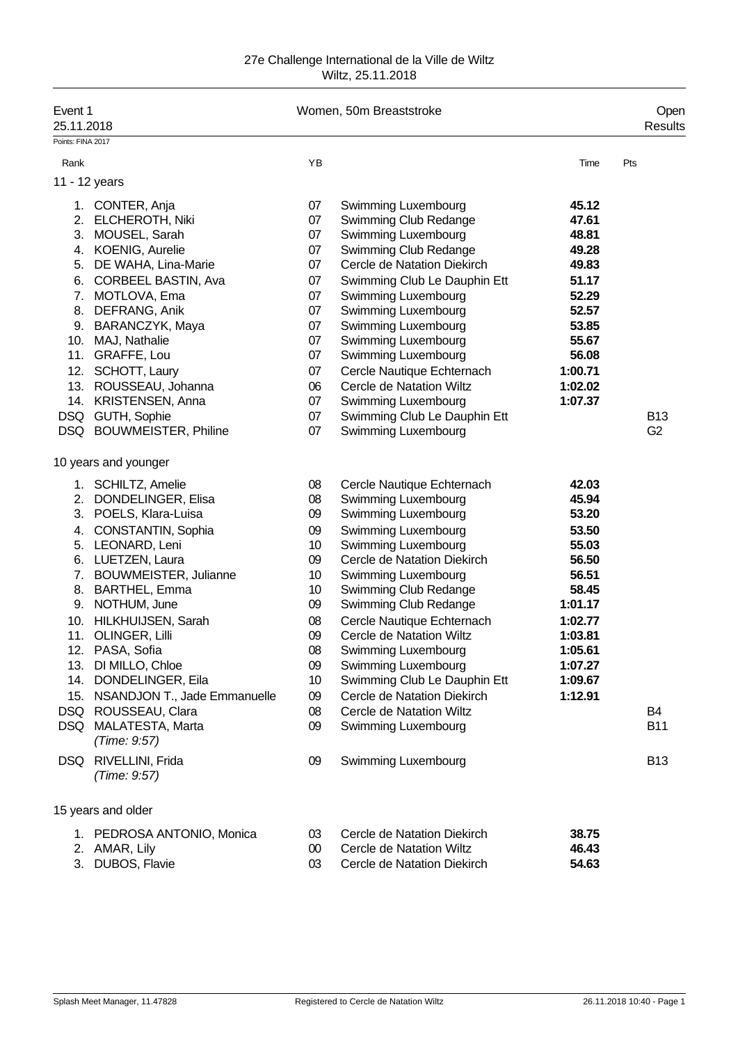| Event 1<br>25.11.2018 |                                      |        | Women, 50m Breaststroke      |         | Open<br>Results |
|-----------------------|--------------------------------------|--------|------------------------------|---------|-----------------|
| Points: FINA 2017     |                                      |        |                              |         |                 |
| Rank                  |                                      | YB     |                              | Time    | Pts             |
|                       | 11 - 12 years                        |        |                              |         |                 |
|                       |                                      |        |                              |         |                 |
|                       | 1. CONTER, Anja                      | 07     | Swimming Luxembourg          | 45.12   |                 |
|                       | 2. ELCHEROTH, Niki                   | 07     | Swimming Club Redange        | 47.61   |                 |
|                       | 3. MOUSEL, Sarah                     | 07     | Swimming Luxembourg          | 48.81   |                 |
|                       | 4. KOENIG, Aurelie                   | 07     | Swimming Club Redange        | 49.28   |                 |
|                       | 5. DE WAHA, Lina-Marie               | 07     | Cercle de Natation Diekirch  | 49.83   |                 |
| 6.                    | CORBEEL BASTIN, Ava                  | 07     | Swimming Club Le Dauphin Ett | 51.17   |                 |
|                       | 7. MOTLOVA, Ema                      | 07     | Swimming Luxembourg          | 52.29   |                 |
|                       | 8. DEFRANG, Anik                     | 07     | Swimming Luxembourg          | 52.57   |                 |
|                       | 9. BARANCZYK, Maya                   | 07     | Swimming Luxembourg          | 53.85   |                 |
|                       | 10. MAJ, Nathalie                    | 07     | Swimming Luxembourg          | 55.67   |                 |
|                       | 11. GRAFFE, Lou                      | 07     | Swimming Luxembourg          | 56.08   |                 |
|                       | 12. SCHOTT, Laury                    | 07     | Cercle Nautique Echternach   | 1:00.71 |                 |
|                       | 13. ROUSSEAU, Johanna                | 06     | Cercle de Natation Wiltz     | 1:02.02 |                 |
|                       | 14. KRISTENSEN, Anna                 | 07     | <b>Swimming Luxembourg</b>   | 1:07.37 |                 |
|                       | DSQ GUTH, Sophie                     | 07     | Swimming Club Le Dauphin Ett |         | <b>B13</b>      |
|                       | DSQ BOUWMEISTER, Philine             | 07     | Swimming Luxembourg          |         | G <sub>2</sub>  |
|                       | 10 years and younger                 |        |                              |         |                 |
|                       | 1. SCHILTZ, Amelie                   | 08     | Cercle Nautique Echternach   | 42.03   |                 |
|                       | 2. DONDELINGER, Elisa                | 08     | Swimming Luxembourg          | 45.94   |                 |
|                       | 3. POELS, Klara-Luisa                | 09     | Swimming Luxembourg          | 53.20   |                 |
|                       | 4. CONSTANTIN, Sophia                | 09     | Swimming Luxembourg          | 53.50   |                 |
|                       | 5. LEONARD, Leni                     | 10     | Swimming Luxembourg          | 55.03   |                 |
|                       | 6. LUETZEN, Laura                    | 09     | Cercle de Natation Diekirch  | 56.50   |                 |
|                       | 7. BOUWMEISTER, Julianne             | 10     | Swimming Luxembourg          | 56.51   |                 |
|                       | 8. BARTHEL, Emma                     | 10     | Swimming Club Redange        | 58.45   |                 |
|                       | 9. NOTHUM, June                      | 09     | Swimming Club Redange        | 1:01.17 |                 |
|                       | 10. HILKHUIJSEN, Sarah               | 08     | Cercle Nautique Echternach   | 1:02.77 |                 |
|                       | 11. OLINGER, Lilli                   | 09     | Cercle de Natation Wiltz     | 1:03.81 |                 |
|                       | 12. PASA, Sofia                      | 08     | Swimming Luxembourg          | 1:05.61 |                 |
|                       | 13. DI MILLO, Chloe                  | 09     | Swimming Luxembourg          | 1:07.27 |                 |
|                       | 14. DONDELINGER, Eila                | 10     | Swimming Club Le Dauphin Ett | 1:09.67 |                 |
|                       | 15. NSANDJON T., Jade Emmanuelle     | 09     | Cercle de Natation Diekirch  | 1:12.91 |                 |
|                       | DSQ ROUSSEAU, Clara                  | 08     | Cercle de Natation Wiltz     |         | <b>B4</b>       |
|                       | DSQ MALATESTA, Marta                 | 09     | Swimming Luxembourg          |         | <b>B11</b>      |
|                       | (Time: 9:57)                         |        |                              |         |                 |
|                       | DSQ RIVELLINI, Frida<br>(Time: 9:57) | 09     | <b>Swimming Luxembourg</b>   |         | <b>B13</b>      |
|                       | 15 years and older                   |        |                              |         |                 |
|                       | 1. PEDROSA ANTONIO, Monica           | 03     | Cercle de Natation Diekirch  | 38.75   |                 |
|                       | 2. AMAR, Lily                        | $00\,$ | Cercle de Natation Wiltz     | 46.43   |                 |
| 3.                    | DUBOS, Flavie                        | 03     | Cercle de Natation Diekirch  | 54.63   |                 |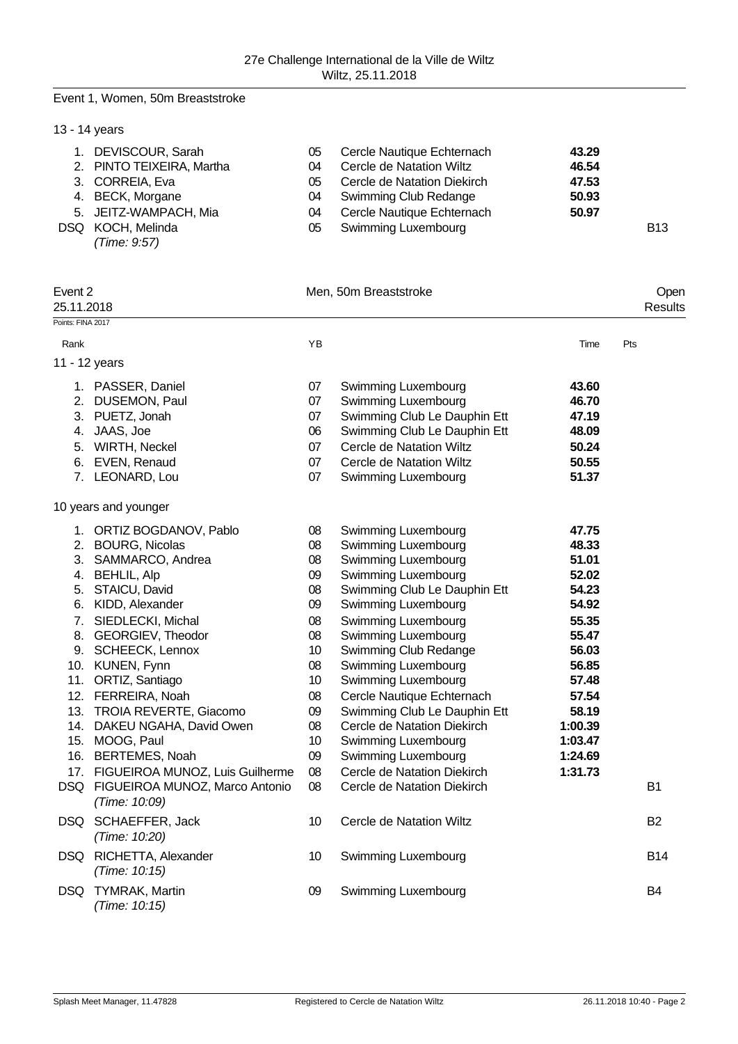#### Event 1, Women, 50m Breaststroke

# 13 - 14 years 1. DEVISCOUR, Sarah 05 Cercle Nautique Echternach **43.29** 2. PINTO TEIXEIRA, Martha 04 Cercle de Natation Wiltz **46.54** 3. CORREIA, Eva 05 Cercle de Natation Diekirch **47.53** 4. BECK, Morgane 04 Swimming Club Redange **50.93** 5. JEITZ-WAMPACH, Mia 04 Cercle Nautique Echternach **50.97** Swimming Luxembourg **B13** *(Time: 9:57)*

| Event 2<br>25.11.2018 |                                                     | Men, 50m Breaststroke | Open<br>Results                 |         |            |
|-----------------------|-----------------------------------------------------|-----------------------|---------------------------------|---------|------------|
| Points: FINA 2017     |                                                     |                       |                                 |         |            |
| Rank                  |                                                     | YB                    |                                 | Time    | Pts        |
|                       | 11 - 12 years                                       |                       |                                 |         |            |
|                       | 1. PASSER, Daniel                                   | 07                    | Swimming Luxembourg             | 43.60   |            |
|                       | 2. DUSEMON, Paul                                    | 07                    | Swimming Luxembourg             | 46.70   |            |
|                       | 3. PUETZ, Jonah                                     | 07                    | Swimming Club Le Dauphin Ett    | 47.19   |            |
|                       | 4. JAAS, Joe                                        | 06                    | Swimming Club Le Dauphin Ett    | 48.09   |            |
|                       | 5. WIRTH, Neckel                                    | 07                    | Cercle de Natation Wiltz        | 50.24   |            |
|                       | 6. EVEN, Renaud                                     | 07                    | Cercle de Natation Wiltz        | 50.55   |            |
|                       | 7. LEONARD, Lou                                     | 07                    | Swimming Luxembourg             | 51.37   |            |
|                       | 10 years and younger                                |                       |                                 |         |            |
|                       | 1. ORTIZ BOGDANOV, Pablo                            | 08                    | Swimming Luxembourg             | 47.75   |            |
|                       | 2. BOURG, Nicolas                                   | 08                    | Swimming Luxembourg             | 48.33   |            |
|                       | 3. SAMMARCO, Andrea                                 | 08                    | Swimming Luxembourg             | 51.01   |            |
|                       | 4. BEHLIL, Alp                                      | 09                    | Swimming Luxembourg             | 52.02   |            |
|                       | 5. STAICU, David                                    | 08                    | Swimming Club Le Dauphin Ett    | 54.23   |            |
|                       | 6. KIDD, Alexander                                  | 09                    | Swimming Luxembourg             | 54.92   |            |
|                       | 7. SIEDLECKI, Michal                                | 08                    | Swimming Luxembourg             | 55.35   |            |
|                       | 8. GEORGIEV, Theodor                                | 08                    | Swimming Luxembourg             | 55.47   |            |
|                       | 9. SCHEECK, Lennox                                  | 10                    | Swimming Club Redange           | 56.03   |            |
|                       | 10. KUNEN, Fynn                                     | 08                    | Swimming Luxembourg             | 56.85   |            |
|                       | 11. ORTIZ, Santiago                                 | 10                    | Swimming Luxembourg             | 57.48   |            |
|                       | 12. FERREIRA, Noah                                  | 08                    | Cercle Nautique Echternach      | 57.54   |            |
|                       | 13. TROIA REVERTE, Giacomo                          | 09                    | Swimming Club Le Dauphin Ett    | 58.19   |            |
|                       | 14. DAKEU NGAHA, David Owen                         | 08                    | Cercle de Natation Diekirch     | 1:00.39 |            |
|                       | 15. MOOG, Paul                                      | 10                    | Swimming Luxembourg             | 1:03.47 |            |
|                       | 16. BERTEMES, Noah                                  | 09                    | Swimming Luxembourg             | 1:24.69 |            |
|                       | 17. FIGUEIROA MUNOZ, Luis Guilherme                 | 08                    | Cercle de Natation Diekirch     | 1:31.73 |            |
|                       | DSQ FIGUEIROA MUNOZ, Marco Antonio<br>(Time: 10:09) | 08                    | Cercle de Natation Diekirch     |         | <b>B1</b>  |
|                       | DSQ SCHAEFFER, Jack<br>(Time: 10:20)                | 10                    | <b>Cercle de Natation Wiltz</b> |         | <b>B2</b>  |
|                       | DSQ RICHETTA, Alexander<br>(Time: 10:15)            | 10                    | Swimming Luxembourg             |         | <b>B14</b> |
| DSQ                   | <b>TYMRAK, Martin</b><br>(Time: 10:15)              | 09                    | Swimming Luxembourg             |         | B4         |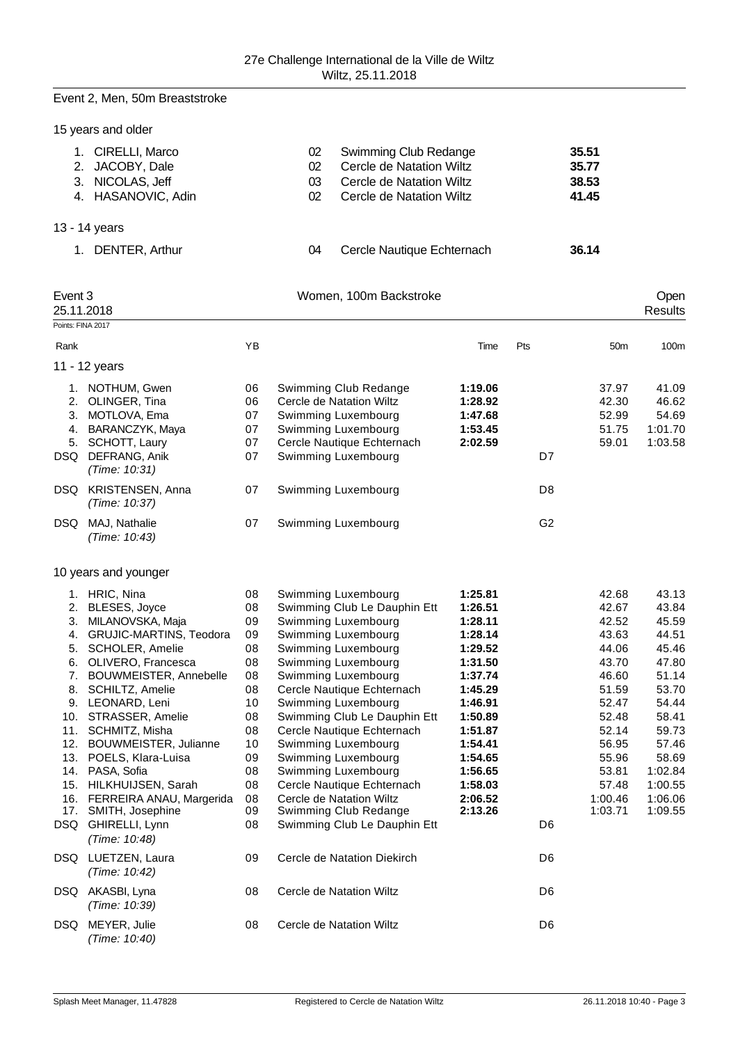### Event 2, Men, 50m Breaststroke

|  | 15 years and older |  |  |
|--|--------------------|--|--|
|--|--------------------|--|--|

| 1. CIRELLI, Marco<br>2. JACOBY, Dale<br>3. NICOLAS, Jeff<br>4. HASANOVIC, Adin | 02<br>02<br>03<br>02 | Swimming Club Redange<br>Cercle de Natation Wiltz<br>Cercle de Natation Wiltz<br>Cercle de Natation Wiltz | 35.51<br>35.77<br>38.53<br>41.45 |
|--------------------------------------------------------------------------------|----------------------|-----------------------------------------------------------------------------------------------------------|----------------------------------|
| 13 - 14 years                                                                  |                      |                                                                                                           |                                  |
| DENTER, Arthur                                                                 | 04                   | Cercle Nautique Echternach                                                                                | 36.14                            |

| Event 3           |                               |    | Women, 100m Backstroke       |         |                |                 | Open    |
|-------------------|-------------------------------|----|------------------------------|---------|----------------|-----------------|---------|
| Points: FINA 2017 | 25.11.2018                    |    |                              |         |                |                 | Results |
|                   |                               |    |                              |         |                |                 |         |
| Rank              |                               | YB |                              | Time    | Pts            | 50 <sub>m</sub> | 100m    |
|                   | 11 - 12 years                 |    |                              |         |                |                 |         |
|                   | 1. NOTHUM, Gwen               | 06 | Swimming Club Redange        | 1:19.06 |                | 37.97           | 41.09   |
| 2.                | OLINGER, Tina                 | 06 | Cercle de Natation Wiltz     | 1:28.92 |                | 42.30           | 46.62   |
| 3.                | MOTLOVA, Ema                  | 07 | Swimming Luxembourg          | 1:47.68 |                | 52.99           | 54.69   |
|                   | 4. BARANCZYK, Maya            | 07 | Swimming Luxembourg          | 1:53.45 |                | 51.75           | 1:01.70 |
|                   | 5. SCHOTT, Laury              | 07 | Cercle Nautique Echternach   | 2:02.59 |                | 59.01           | 1:03.58 |
| DSQ               | DEFRANG, Anik                 | 07 | Swimming Luxembourg          |         | D7             |                 |         |
|                   | (Time: 10:31)                 |    |                              |         |                |                 |         |
|                   | DSQ KRISTENSEN, Anna          | 07 | Swimming Luxembourg          |         | D <sub>8</sub> |                 |         |
|                   | (Time: 10:37)                 |    |                              |         |                |                 |         |
| DSQ               | MAJ, Nathalie                 | 07 | Swimming Luxembourg          |         | G <sub>2</sub> |                 |         |
|                   | (Time: 10:43)                 |    |                              |         |                |                 |         |
|                   |                               |    |                              |         |                |                 |         |
|                   | 10 years and younger          |    |                              |         |                |                 |         |
|                   | 1. HRIC, Nina                 | 08 | Swimming Luxembourg          | 1:25.81 |                | 42.68           | 43.13   |
|                   | 2. BLESES, Joyce              | 08 | Swimming Club Le Dauphin Ett | 1:26.51 |                | 42.67           | 43.84   |
| 3.                | MILANOVSKA, Maja              | 09 | Swimming Luxembourg          | 1:28.11 |                | 42.52           | 45.59   |
| 4.                | GRUJIC-MARTINS, Teodora       | 09 | Swimming Luxembourg          | 1:28.14 |                | 43.63           | 44.51   |
| 5.                | <b>SCHOLER, Amelie</b>        | 08 | Swimming Luxembourg          | 1:29.52 |                | 44.06           | 45.46   |
| 6.                | OLIVERO, Francesca            | 08 | Swimming Luxembourg          | 1:31.50 |                | 43.70           | 47.80   |
|                   | 7. BOUWMEISTER, Annebelle     | 08 | Swimming Luxembourg          | 1:37.74 |                | 46.60           | 51.14   |
| 8.                | SCHILTZ, Amelie               | 08 | Cercle Nautique Echternach   | 1:45.29 |                | 51.59           | 53.70   |
|                   | 9. LEONARD, Leni              | 10 | Swimming Luxembourg          | 1:46.91 |                | 52.47           | 54.44   |
| 10.               | STRASSER, Amelie              | 08 | Swimming Club Le Dauphin Ett | 1:50.89 |                | 52.48           | 58.41   |
| 11.               | SCHMITZ, Misha                | 08 | Cercle Nautique Echternach   | 1:51.87 |                | 52.14           | 59.73   |
| 12.               | BOUWMEISTER, Julianne         | 10 | Swimming Luxembourg          | 1:54.41 |                | 56.95           | 57.46   |
|                   | 13. POELS, Klara-Luisa        | 09 | Swimming Luxembourg          | 1:54.65 |                | 55.96           | 58.69   |
|                   | 14. PASA, Sofia               | 08 | Swimming Luxembourg          | 1:56.65 |                | 53.81           | 1:02.84 |
|                   | 15. HILKHUIJSEN, Sarah        | 08 | Cercle Nautique Echternach   | 1:58.03 |                | 57.48           | 1:00.55 |
|                   | 16. FERREIRA ANAU, Margerida  | 08 | Cercle de Natation Wiltz     | 2:06.52 |                | 1:00.46         | 1:06.06 |
| 17.               | SMITH, Josephine              | 09 | Swimming Club Redange        | 2:13.26 |                | 1:03.71         | 1:09.55 |
| DSQ               | GHIRELLI, Lynn                | 08 | Swimming Club Le Dauphin Ett |         | D <sub>6</sub> |                 |         |
|                   | (Time: 10:48)                 |    |                              |         |                |                 |         |
|                   | DSQ LUETZEN, Laura            | 09 | Cercle de Natation Diekirch  |         | D6             |                 |         |
|                   | (Time: 10:42)                 |    |                              |         |                |                 |         |
|                   | DSQ AKASBI, Lyna              | 08 | Cercle de Natation Wiltz     |         | D <sub>6</sub> |                 |         |
|                   | (Time: 10:39)                 |    |                              |         |                |                 |         |
| DSQ               | MEYER, Julie<br>(Time: 10:40) | 08 | Cercle de Natation Wiltz     |         | D <sub>6</sub> |                 |         |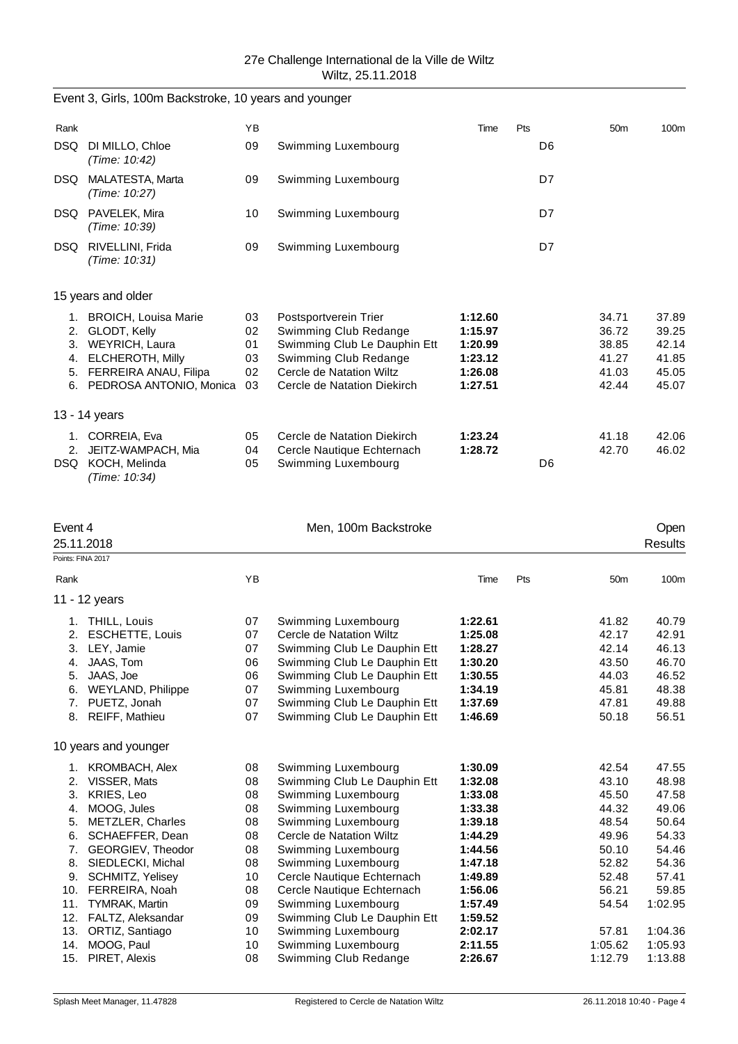| Event 3, Girls, 100m Backstroke, 10 years and younger |  |  |
|-------------------------------------------------------|--|--|
|-------------------------------------------------------|--|--|

| Rank                       |                                                                                                                                   | YB                               |                                                                                                                                                                    | Time                                                           | Pts |    | 50 <sub>m</sub>                                    | 100m                                               |
|----------------------------|-----------------------------------------------------------------------------------------------------------------------------------|----------------------------------|--------------------------------------------------------------------------------------------------------------------------------------------------------------------|----------------------------------------------------------------|-----|----|----------------------------------------------------|----------------------------------------------------|
| DSQ.                       | DI MILLO, Chloe<br>(Time: 10:42)                                                                                                  | 09                               | Swimming Luxembourg                                                                                                                                                |                                                                |     | D6 |                                                    |                                                    |
| DSQ.                       | MALATESTA, Marta<br>(Time: 10:27)                                                                                                 | 09                               | Swimming Luxembourg                                                                                                                                                |                                                                |     | D7 |                                                    |                                                    |
| DSQ.                       | PAVELEK, Mira<br>(Time: 10:39)                                                                                                    | 10                               | Swimming Luxembourg                                                                                                                                                |                                                                |     | D7 |                                                    |                                                    |
| DSQ.                       | RIVELLINI, Frida<br>(Time: 10:31)                                                                                                 | 09                               | Swimming Luxembourg                                                                                                                                                |                                                                |     | D7 |                                                    |                                                    |
|                            | 15 years and older                                                                                                                |                                  |                                                                                                                                                                    |                                                                |     |    |                                                    |                                                    |
| 2.<br>3.<br>4.<br>5.<br>6. | 1. BROICH, Louisa Marie<br>GLODT, Kelly<br>WEYRICH, Laura<br>ELCHEROTH, Milly<br>FERREIRA ANAU, Filipa<br>PEDROSA ANTONIO, Monica | 03<br>02<br>01<br>03<br>02<br>03 | Postsportverein Trier<br>Swimming Club Redange<br>Swimming Club Le Dauphin Ett<br>Swimming Club Redange<br>Cercle de Natation Wiltz<br>Cercle de Natation Diekirch | 1:12.60<br>1:15.97<br>1:20.99<br>1:23.12<br>1:26.08<br>1:27.51 |     |    | 34.71<br>36.72<br>38.85<br>41.27<br>41.03<br>42.44 | 37.89<br>39.25<br>42.14<br>41.85<br>45.05<br>45.07 |
|                            | 13 - 14 years                                                                                                                     |                                  |                                                                                                                                                                    |                                                                |     |    |                                                    |                                                    |
| 1.<br>2.<br>DSQ.           | CORREIA, Eva<br>JEITZ-WAMPACH, Mia<br>KOCH, Melinda<br>(Time: 10:34)                                                              | 05<br>04<br>05                   | Cercle de Natation Diekirch<br>Cercle Nautique Echternach<br>Swimming Luxembourg                                                                                   | 1:23.24<br>1:28.72                                             |     | D6 | 41.18<br>42.70                                     | 42.06<br>46.02                                     |

| Event 4 | 25.11.2018               |    | Men, 100m Backstroke         |         |     |                 | <b>Open</b><br><b>Results</b> |
|---------|--------------------------|----|------------------------------|---------|-----|-----------------|-------------------------------|
|         | Points: FINA 2017        |    |                              |         |     |                 |                               |
| Rank    |                          | YB |                              | Time    | Pts | 50 <sub>m</sub> | 100m                          |
|         | 11 - 12 years            |    |                              |         |     |                 |                               |
|         | 1. THILL, Louis          | 07 | Swimming Luxembourg          | 1:22.61 |     | 41.82           | 40.79                         |
| 2.      | <b>ESCHETTE, Louis</b>   | 07 | Cercle de Natation Wiltz     | 1:25.08 |     | 42.17           | 42.91                         |
| 3.      | LEY, Jamie               | 07 | Swimming Club Le Dauphin Ett | 1:28.27 |     | 42.14           | 46.13                         |
| 4.      | JAAS, Tom                | 06 | Swimming Club Le Dauphin Ett | 1:30.20 |     | 43.50           | 46.70                         |
| 5.      | JAAS, Joe                | 06 | Swimming Club Le Dauphin Ett | 1:30.55 |     | 44.03           | 46.52                         |
| 6.      | <b>WEYLAND, Philippe</b> | 07 | Swimming Luxembourg          | 1:34.19 |     | 45.81           | 48.38                         |
| 7.      | PUETZ, Jonah             | 07 | Swimming Club Le Dauphin Ett | 1:37.69 |     | 47.81           | 49.88                         |
|         | 8. REIFF, Mathieu        | 07 | Swimming Club Le Dauphin Ett | 1:46.69 |     | 50.18           | 56.51                         |
|         | 10 years and younger     |    |                              |         |     |                 |                               |
|         | 1. KROMBACH, Alex        | 08 | Swimming Luxembourg          | 1:30.09 |     | 42.54           | 47.55                         |
| 2.      | VISSER, Mats             | 08 | Swimming Club Le Dauphin Ett | 1:32.08 |     | 43.10           | 48.98                         |
| 3.      | KRIES, Leo               | 08 | Swimming Luxembourg          | 1:33.08 |     | 45.50           | 47.58                         |
| 4.      | MOOG, Jules              | 08 | Swimming Luxembourg          | 1:33.38 |     | 44.32           | 49.06                         |
| 5.      | METZLER, Charles         | 08 | Swimming Luxembourg          | 1:39.18 |     | 48.54           | 50.64                         |
| 6.      | SCHAEFFER, Dean          | 08 | Cercle de Natation Wiltz     | 1:44.29 |     | 49.96           | 54.33                         |
| 7.      | GEORGIEV, Theodor        | 08 | Swimming Luxembourg          | 1:44.56 |     | 50.10           | 54.46                         |
| 8.      | SIEDLECKI, Michal        | 08 | Swimming Luxembourg          | 1:47.18 |     | 52.82           | 54.36                         |
| 9.      | <b>SCHMITZ, Yelisey</b>  | 10 | Cercle Nautique Echternach   | 1:49.89 |     | 52.48           | 57.41                         |
| 10.     | FERREIRA, Noah           | 08 | Cercle Nautique Echternach   | 1:56.06 |     | 56.21           | 59.85                         |
| 11.     | <b>TYMRAK, Martin</b>    | 09 | Swimming Luxembourg          | 1:57.49 |     | 54.54           | 1:02.95                       |
| 12.     | FALTZ, Aleksandar        | 09 | Swimming Club Le Dauphin Ett | 1:59.52 |     |                 |                               |
| 13.     | ORTIZ, Santiago          | 10 | Swimming Luxembourg          | 2:02.17 |     | 57.81           | 1:04.36                       |
| 14.     | MOOG, Paul               | 10 | Swimming Luxembourg          | 2:11.55 |     | 1:05.62         | 1:05.93                       |
| 15.     | PIRET, Alexis            | 08 | Swimming Club Redange        | 2:26.67 |     | 1:12.79         | 1:13.88                       |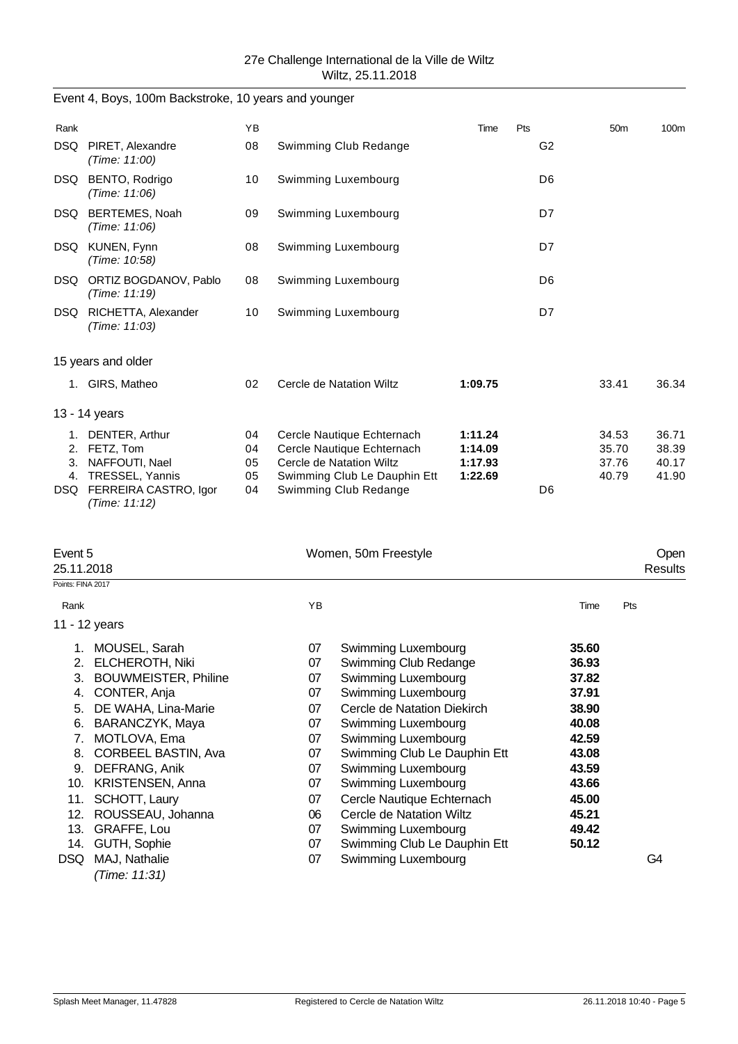| 27e Challenge International de la Ville de Wiltz |
|--------------------------------------------------|
| Wiltz, 25.11.2018                                |

|                       | Event 4, Boys, 100m Backstroke, 10 years and younger                                                                       |                            |          |                                                                                                                                                                                           |         |                |                |                                  |                                  |
|-----------------------|----------------------------------------------------------------------------------------------------------------------------|----------------------------|----------|-------------------------------------------------------------------------------------------------------------------------------------------------------------------------------------------|---------|----------------|----------------|----------------------------------|----------------------------------|
| Rank                  |                                                                                                                            | YB                         |          |                                                                                                                                                                                           | Time    | Pts            |                | 50 <sub>m</sub>                  | 100m                             |
|                       | DSQ PIRET, Alexandre<br>(Time: 11:00)                                                                                      | 08                         |          | Swimming Club Redange                                                                                                                                                                     |         | G <sub>2</sub> |                |                                  |                                  |
|                       | DSQ BENTO, Rodrigo<br>(Time: 11:06)                                                                                        | 10                         |          | Swimming Luxembourg                                                                                                                                                                       |         | D <sub>6</sub> |                |                                  |                                  |
|                       | DSQ BERTEMES, Noah<br>(Time: 11:06)                                                                                        | 09                         |          | Swimming Luxembourg                                                                                                                                                                       |         | D7             |                |                                  |                                  |
|                       | DSQ KUNEN, Fynn<br>(Time: 10:58)                                                                                           | 08                         |          | Swimming Luxembourg                                                                                                                                                                       |         | D7             |                |                                  |                                  |
|                       | DSQ ORTIZ BOGDANOV, Pablo<br>(Time: 11:19)                                                                                 | 08                         |          | Swimming Luxembourg                                                                                                                                                                       |         | D <sub>6</sub> |                |                                  |                                  |
|                       | DSQ RICHETTA, Alexander<br>(Time: 11:03)                                                                                   | 10                         |          | Swimming Luxembourg                                                                                                                                                                       |         | D7             |                |                                  |                                  |
|                       | 15 years and older                                                                                                         |                            |          |                                                                                                                                                                                           |         |                |                |                                  |                                  |
|                       | 1. GIRS, Matheo                                                                                                            | 02                         |          | Cercle de Natation Wiltz                                                                                                                                                                  | 1:09.75 |                |                | 33.41                            | 36.34                            |
|                       | 13 - 14 years                                                                                                              |                            |          |                                                                                                                                                                                           |         |                |                |                                  |                                  |
|                       | 1. DENTER, Arthur<br>2. FETZ, Tom<br>3. NAFFOUTI, Nael<br>4. TRESSEL, Yannis<br>DSQ FERREIRA CASTRO, Igor<br>(Time: 11:12) | 04<br>04<br>05<br>05<br>04 |          | Cercle Nautique Echternach<br>1:11.24<br>Cercle Nautique Echternach<br>1:14.09<br>Cercle de Natation Wiltz<br>1:17.93<br>Swimming Club Le Dauphin Ett<br>1:22.69<br>Swimming Club Redange |         | D <sub>6</sub> |                | 34.53<br>35.70<br>37.76<br>40.79 | 36.71<br>38.39<br>40.17<br>41.90 |
| Event 5<br>25.11.2018 |                                                                                                                            |                            |          | Women, 50m Freestyle                                                                                                                                                                      |         |                |                |                                  | Open<br><b>Results</b>           |
| Points: FINA 2017     |                                                                                                                            |                            |          |                                                                                                                                                                                           |         |                |                |                                  |                                  |
| Rank                  |                                                                                                                            |                            | YB       |                                                                                                                                                                                           |         |                | Time           | Pts                              |                                  |
|                       | 11 - 12 years                                                                                                              |                            |          |                                                                                                                                                                                           |         |                |                |                                  |                                  |
|                       | 1. MOUSEL, Sarah                                                                                                           |                            | 07       | Swimming Luxembourg                                                                                                                                                                       |         |                | 35.60          |                                  |                                  |
|                       | 2. ELCHEROTH, Niki                                                                                                         |                            | 07       | Swimming Club Redange                                                                                                                                                                     |         |                | 36.93          |                                  |                                  |
|                       | 3. BOUWMEISTER, Philine                                                                                                    |                            | 07<br>07 | Swimming Luxembourg                                                                                                                                                                       |         |                | 37.82<br>37.91 |                                  |                                  |
|                       | 4. CONTER, Anja<br>5. DE WAHA, Lina-Marie                                                                                  |                            | 07       | Swimming Luxembourg<br>Cercle de Natation Diekirch                                                                                                                                        |         |                | 38.90          |                                  |                                  |
|                       | 6. BARANCZYK, Maya                                                                                                         |                            | 07       | Swimming Luxembourg                                                                                                                                                                       |         |                | 40.08          |                                  |                                  |
| 7.                    | MOTLOVA, Ema                                                                                                               |                            | 07       | Swimming Luxembourg                                                                                                                                                                       |         |                | 42.59          |                                  |                                  |
| 8.                    | CORBEEL BASTIN, Ava                                                                                                        |                            | 07       | Swimming Club Le Dauphin Ett                                                                                                                                                              |         |                | 43.08          |                                  |                                  |
|                       | 9. DEFRANG, Anik                                                                                                           |                            | 07       | Swimming Luxembourg                                                                                                                                                                       |         |                | 43.59          |                                  |                                  |
|                       | 10. KRISTENSEN, Anna                                                                                                       |                            | 07       | Swimming Luxembourg                                                                                                                                                                       |         |                | 43.66          |                                  |                                  |
| 11.                   | SCHOTT, Laury                                                                                                              |                            | 07       | Cercle Nautique Echternach                                                                                                                                                                |         |                | 45.00          |                                  |                                  |
| 12.<br>13.            | ROUSSEAU, Johanna<br>GRAFFE, Lou                                                                                           |                            | 06<br>07 | Cercle de Natation Wiltz                                                                                                                                                                  |         |                | 45.21<br>49.42 |                                  |                                  |
| 14.                   | GUTH, Sophie                                                                                                               |                            | 07       | Swimming Luxembourg<br>Swimming Club Le Dauphin Ett                                                                                                                                       |         |                | 50.12          |                                  |                                  |
|                       | DSQ MAJ, Nathalie                                                                                                          |                            | 07       | Swimming Luxembourg                                                                                                                                                                       |         |                |                |                                  | G4                               |

*(Time: 11:31)*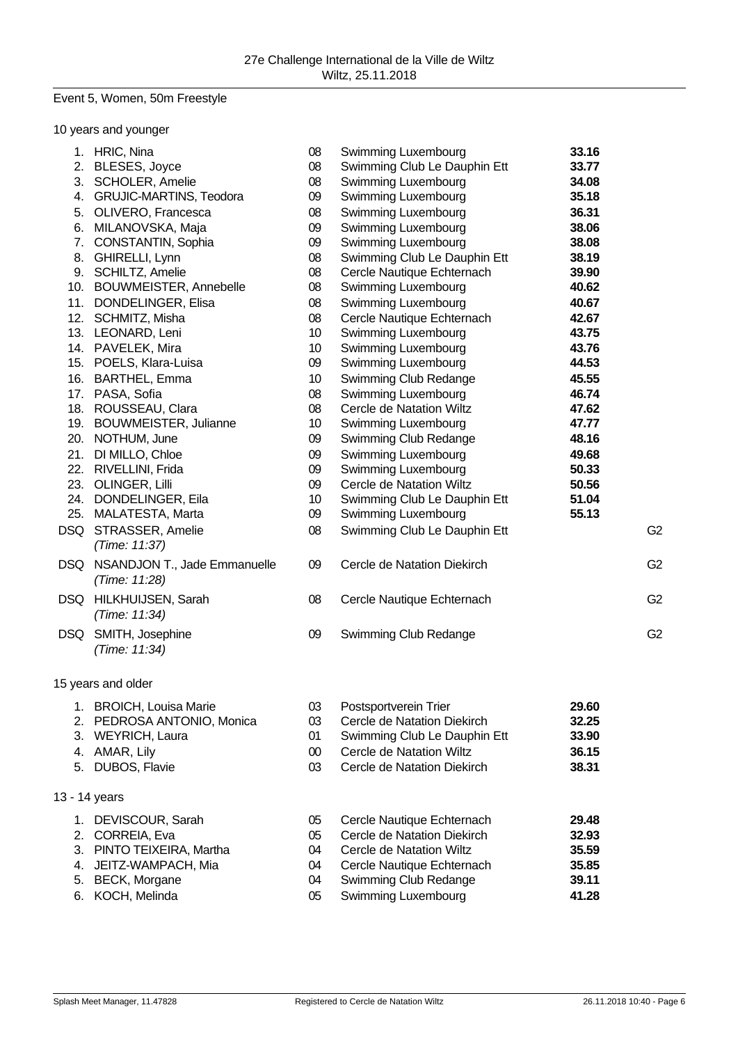# Event 5, Women, 50m Freestyle

|     | 10 years and younger             |        |                                 |       |                |
|-----|----------------------------------|--------|---------------------------------|-------|----------------|
|     | 1. HRIC, Nina                    | 08     | Swimming Luxembourg             | 33.16 |                |
|     | 2. BLESES, Joyce                 | 08     | Swimming Club Le Dauphin Ett    | 33.77 |                |
|     | 3. SCHOLER, Amelie               | 08     | Swimming Luxembourg             | 34.08 |                |
|     | 4. GRUJIC-MARTINS, Teodora       | 09     | Swimming Luxembourg             | 35.18 |                |
| 5.  | OLIVERO, Francesca               | 08     | Swimming Luxembourg             | 36.31 |                |
| 6.  | MILANOVSKA, Maja                 | 09     | Swimming Luxembourg             | 38.06 |                |
| 7.  | CONSTANTIN, Sophia               | 09     | Swimming Luxembourg             | 38.08 |                |
|     | 8. GHIRELLI, Lynn                | 08     | Swimming Club Le Dauphin Ett    | 38.19 |                |
|     | 9. SCHILTZ, Amelie               | 08     | Cercle Nautique Echternach      | 39.90 |                |
|     | 10. BOUWMEISTER, Annebelle       | 08     | Swimming Luxembourg             | 40.62 |                |
| 11. | DONDELINGER, Elisa               | 08     | Swimming Luxembourg             | 40.67 |                |
|     | 12. SCHMITZ, Misha               | 08     | Cercle Nautique Echternach      | 42.67 |                |
|     | 13. LEONARD, Leni                | 10     | Swimming Luxembourg             | 43.75 |                |
|     | 14. PAVELEK, Mira                | 10     | Swimming Luxembourg             | 43.76 |                |
|     | 15. POELS, Klara-Luisa           | 09     | Swimming Luxembourg             | 44.53 |                |
|     | 16. BARTHEL, Emma                | 10     | Swimming Club Redange           | 45.55 |                |
|     | 17. PASA, Sofia                  | 08     | Swimming Luxembourg             | 46.74 |                |
|     | 18. ROUSSEAU, Clara              | 08     | Cercle de Natation Wiltz        | 47.62 |                |
|     | 19. BOUWMEISTER, Julianne        | 10     | Swimming Luxembourg             | 47.77 |                |
|     | 20. NOTHUM, June                 | 09     | Swimming Club Redange           | 48.16 |                |
|     | 21. DI MILLO, Chloe              | 09     | Swimming Luxembourg             | 49.68 |                |
|     | 22. RIVELLINI, Frida             | 09     | Swimming Luxembourg             | 50.33 |                |
|     | 23. OLINGER, Lilli               | 09     | Cercle de Natation Wiltz        | 50.56 |                |
|     | 24. DONDELINGER, Eila            | 10     | Swimming Club Le Dauphin Ett    | 51.04 |                |
|     | 25. MALATESTA, Marta             | 09     | Swimming Luxembourg             | 55.13 |                |
|     | DSQ STRASSER, Amelie             | 08     | Swimming Club Le Dauphin Ett    |       | G <sub>2</sub> |
|     | (Time: 11:37)                    |        |                                 |       |                |
|     | DSQ NSANDJON T., Jade Emmanuelle | 09     | Cercle de Natation Diekirch     |       | G <sub>2</sub> |
|     | (Time: 11:28)                    |        |                                 |       |                |
|     | DSQ HILKHUIJSEN, Sarah           | 08     | Cercle Nautique Echternach      |       | G <sub>2</sub> |
|     | (Time: 11:34)                    |        |                                 |       |                |
|     | DSQ SMITH, Josephine             | 09     | Swimming Club Redange           |       | G <sub>2</sub> |
|     | (Time: 11:34)                    |        |                                 |       |                |
|     |                                  |        |                                 |       |                |
|     | 15 years and older               |        |                                 |       |                |
|     | 1. BROICH, Louisa Marie          | 03     | Postsportverein Trier           | 29.60 |                |
|     | 2. PEDROSA ANTONIO, Monica       | 03     | Cercle de Natation Diekirch     | 32.25 |                |
|     | 3. WEYRICH, Laura                | 01     | Swimming Club Le Dauphin Ett    | 33.90 |                |
|     | 4. AMAR, Lily                    | $00\,$ | Cercle de Natation Wiltz        | 36.15 |                |
|     | 5. DUBOS, Flavie                 | 03     | Cercle de Natation Diekirch     | 38.31 |                |
|     |                                  |        |                                 |       |                |
|     | 13 - 14 years                    |        |                                 |       |                |
|     | 1. DEVISCOUR, Sarah              | 05     | Cercle Nautique Echternach      | 29.48 |                |
|     | 2. CORREIA, Eva                  | 05     | Cercle de Natation Diekirch     | 32.93 |                |
|     | 3. PINTO TEIXEIRA, Martha        | 04     | <b>Cercle de Natation Wiltz</b> | 35.59 |                |
|     | 4. JEITZ-WAMPACH, Mia            | 04     | Cercle Nautique Echternach      | 35.85 |                |
|     | 5. BECK, Morgane                 | 04     | Swimming Club Redange           | 39.11 |                |
|     | 6. KOCH, Melinda                 | 05     | Swimming Luxembourg             | 41.28 |                |
|     |                                  |        |                                 |       |                |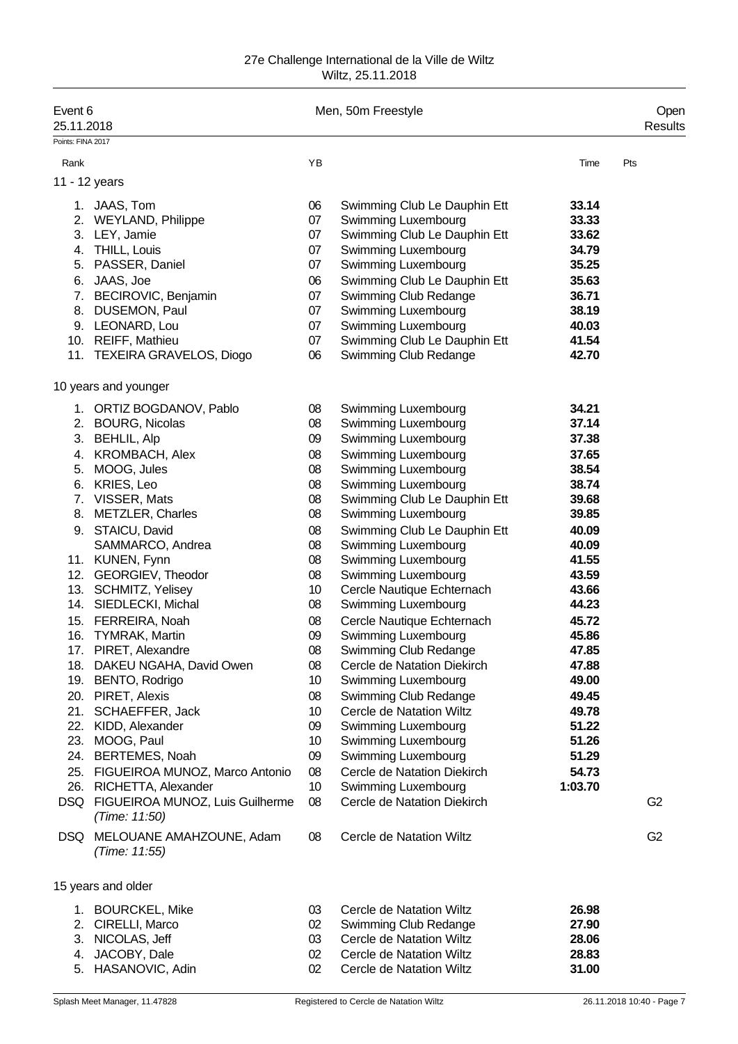| Event 6<br>25.11.2018<br>Points: FINA 2017    |                                                                                                                                                                                                                                                                                                                              |                                                                                                     | Men, 50m Freestyle                                                                                                                                                                                                                                                                                                                                                                    |                                                                                                                                     | Open<br>Results |
|-----------------------------------------------|------------------------------------------------------------------------------------------------------------------------------------------------------------------------------------------------------------------------------------------------------------------------------------------------------------------------------|-----------------------------------------------------------------------------------------------------|---------------------------------------------------------------------------------------------------------------------------------------------------------------------------------------------------------------------------------------------------------------------------------------------------------------------------------------------------------------------------------------|-------------------------------------------------------------------------------------------------------------------------------------|-----------------|
| Rank                                          |                                                                                                                                                                                                                                                                                                                              | YB                                                                                                  |                                                                                                                                                                                                                                                                                                                                                                                       | Time                                                                                                                                | Pts             |
|                                               | 11 - 12 years                                                                                                                                                                                                                                                                                                                |                                                                                                     |                                                                                                                                                                                                                                                                                                                                                                                       |                                                                                                                                     |                 |
| 6.<br>7.<br>8.                                | 1. JAAS, Tom<br>2. WEYLAND, Philippe<br>3. LEY, Jamie<br>4. THILL, Louis<br>5. PASSER, Daniel<br>JAAS, Joe<br>BECIROVIC, Benjamin<br>DUSEMON, Paul<br>9. LEONARD, Lou<br>10. REIFF, Mathieu                                                                                                                                  | 06<br>07<br>07<br>07<br>07<br>06<br>07<br>07<br>07<br>07                                            | Swimming Club Le Dauphin Ett<br>Swimming Luxembourg<br>Swimming Club Le Dauphin Ett<br>Swimming Luxembourg<br>Swimming Luxembourg<br>Swimming Club Le Dauphin Ett<br>Swimming Club Redange<br>Swimming Luxembourg<br>Swimming Luxembourg<br>Swimming Club Le Dauphin Ett                                                                                                              | 33.14<br>33.33<br>33.62<br>34.79<br>35.25<br>35.63<br>36.71<br>38.19<br>40.03<br>41.54                                              |                 |
|                                               | 11. TEXEIRA GRAVELOS, Diogo                                                                                                                                                                                                                                                                                                  | 06                                                                                                  | Swimming Club Redange                                                                                                                                                                                                                                                                                                                                                                 | 42.70                                                                                                                               |                 |
|                                               | 10 years and younger                                                                                                                                                                                                                                                                                                         |                                                                                                     |                                                                                                                                                                                                                                                                                                                                                                                       |                                                                                                                                     |                 |
|                                               | 1. ORTIZ BOGDANOV, Pablo<br>2. BOURG, Nicolas<br>3. BEHLIL, Alp<br>4. KROMBACH, Alex<br>5. MOOG, Jules<br>6. KRIES, Leo<br>7. VISSER, Mats<br>8. METZLER, Charles<br>9. STAICU, David<br>SAMMARCO, Andrea<br>11. KUNEN, Fynn<br>12. GEORGIEV, Theodor<br>13. SCHMITZ, Yelisey<br>14. SIEDLECKI, Michal<br>15. FERREIRA, Noah | 08<br>08<br>09<br>80<br>08<br>08<br>08<br>08<br>08<br>08<br>08<br>08<br>10 <sup>°</sup><br>08<br>08 | Swimming Luxembourg<br>Swimming Luxembourg<br>Swimming Luxembourg<br>Swimming Luxembourg<br>Swimming Luxembourg<br>Swimming Luxembourg<br>Swimming Club Le Dauphin Ett<br>Swimming Luxembourg<br>Swimming Club Le Dauphin Ett<br>Swimming Luxembourg<br>Swimming Luxembourg<br>Swimming Luxembourg<br>Cercle Nautique Echternach<br>Swimming Luxembourg<br>Cercle Nautique Echternach | 34.21<br>37.14<br>37.38<br>37.65<br>38.54<br>38.74<br>39.68<br>39.85<br>40.09<br>40.09<br>41.55<br>43.59<br>43.66<br>44.23<br>45.72 |                 |
| 18.<br>20.<br>21.<br>22.<br>23.<br>24.<br>25. | 16. TYMRAK, Martin<br>17. PIRET, Alexandre<br>DAKEU NGAHA, David Owen<br>19. BENTO, Rodrigo<br>PIRET, Alexis<br>SCHAEFFER, Jack<br>KIDD, Alexander<br>MOOG, Paul<br><b>BERTEMES, Noah</b><br>FIGUEIROA MUNOZ, Marco Antonio<br>26. RICHETTA, Alexander<br>DSQ FIGUEIROA MUNOZ, Luis Guilherme                                | 09<br>08<br>08<br>10<br>08<br>10<br>09<br>10<br>09<br>08<br>10<br>08                                | Swimming Luxembourg<br>Swimming Club Redange<br>Cercle de Natation Diekirch<br>Swimming Luxembourg<br>Swimming Club Redange<br>Cercle de Natation Wiltz<br>Swimming Luxembourg<br>Swimming Luxembourg<br>Swimming Luxembourg<br>Cercle de Natation Diekirch<br>Swimming Luxembourg<br>Cercle de Natation Diekirch                                                                     | 45.86<br>47.85<br>47.88<br>49.00<br>49.45<br>49.78<br>51.22<br>51.26<br>51.29<br>54.73<br>1:03.70                                   | G <sub>2</sub>  |
|                                               | (Time: 11:50)<br>DSQ MELOUANE AMAHZOUNE, Adam<br>(Time: 11:55)                                                                                                                                                                                                                                                               | 08                                                                                                  | Cercle de Natation Wiltz                                                                                                                                                                                                                                                                                                                                                              |                                                                                                                                     | G <sub>2</sub>  |
|                                               | 15 years and older                                                                                                                                                                                                                                                                                                           |                                                                                                     |                                                                                                                                                                                                                                                                                                                                                                                       |                                                                                                                                     |                 |
| 3.<br>4.                                      | 1. BOURCKEL, Mike<br>2. CIRELLI, Marco<br>NICOLAS, Jeff<br>JACOBY, Dale                                                                                                                                                                                                                                                      | 03<br>02<br>03<br>$02\,$                                                                            | Cercle de Natation Wiltz<br>Swimming Club Redange<br>Cercle de Natation Wiltz<br>Cercle de Natation Wiltz                                                                                                                                                                                                                                                                             | 26.98<br>27.90<br>28.06<br>28.83                                                                                                    |                 |

5. HASANOVIC, Adin 02 Cercle de Natation Wiltz **31.00**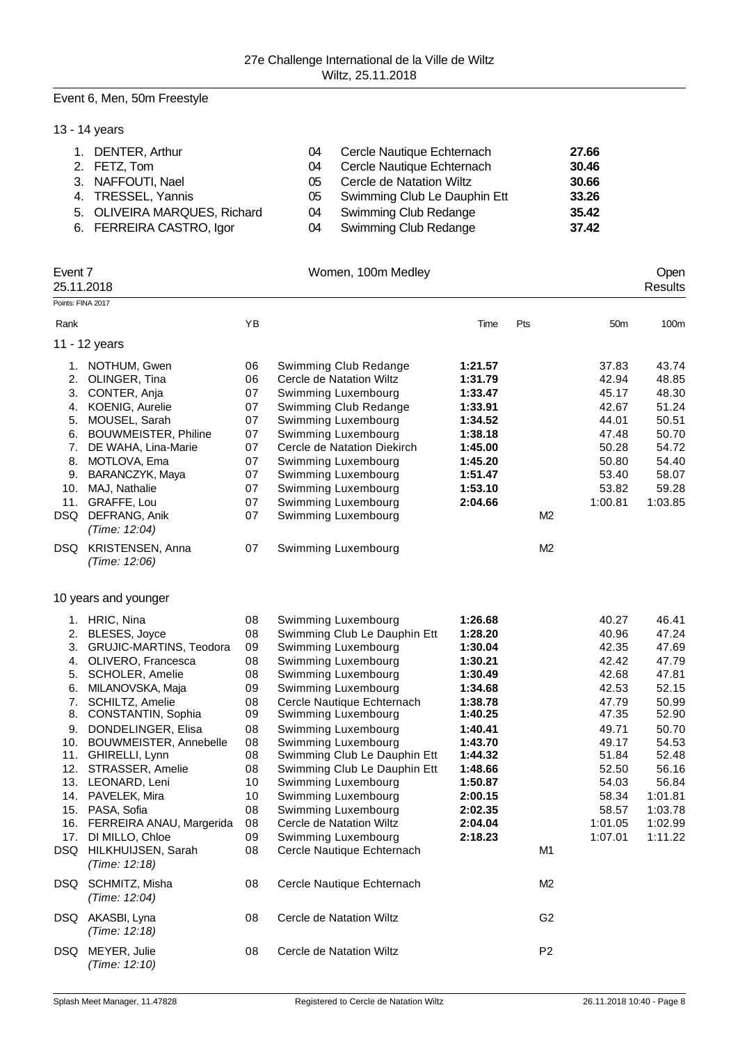# Event 6, Men, 50m Freestyle

| 13 - 14 years                |    |                                 |       |
|------------------------------|----|---------------------------------|-------|
| 1. DENTER, Arthur            | 04 | Cercle Nautique Echternach      | 27.66 |
| 2. FETZ, Tom                 | 04 | Cercle Nautique Echternach      | 30.46 |
| 3. NAFFOUTI, Nael            | 05 | <b>Cercle de Natation Wiltz</b> | 30.66 |
| 4. TRESSEL, Yannis           | 05 | Swimming Club Le Dauphin Ett    | 33.26 |
| 5. OLIVEIRA MARQUES, Richard | 04 | <b>Swimming Club Redange</b>    | 35.42 |
| 6. FERREIRA CASTRO, Igor     | 04 | <b>Swimming Club Redange</b>    | 37.42 |
|                              |    |                                 |       |

| Event 7<br>25.11.2018 |                                                                                                                                                                                                                                                                                                                                                                                                                                                 |                                                                                                          | Women, 100m Medley                                                                                                                                                                                                                                                                                                                                                                                                                                                       |                                                                                                                                                                                         |                |                                                                                                                                                           | Open<br><b>Results</b>                                                                                                                                        |
|-----------------------|-------------------------------------------------------------------------------------------------------------------------------------------------------------------------------------------------------------------------------------------------------------------------------------------------------------------------------------------------------------------------------------------------------------------------------------------------|----------------------------------------------------------------------------------------------------------|--------------------------------------------------------------------------------------------------------------------------------------------------------------------------------------------------------------------------------------------------------------------------------------------------------------------------------------------------------------------------------------------------------------------------------------------------------------------------|-----------------------------------------------------------------------------------------------------------------------------------------------------------------------------------------|----------------|-----------------------------------------------------------------------------------------------------------------------------------------------------------|---------------------------------------------------------------------------------------------------------------------------------------------------------------|
| Points: FINA 2017     |                                                                                                                                                                                                                                                                                                                                                                                                                                                 |                                                                                                          |                                                                                                                                                                                                                                                                                                                                                                                                                                                                          |                                                                                                                                                                                         |                |                                                                                                                                                           |                                                                                                                                                               |
| Rank                  |                                                                                                                                                                                                                                                                                                                                                                                                                                                 | YB                                                                                                       |                                                                                                                                                                                                                                                                                                                                                                                                                                                                          | Time                                                                                                                                                                                    | Pts            | 50 <sub>m</sub>                                                                                                                                           | 100m                                                                                                                                                          |
|                       | 11 - 12 years                                                                                                                                                                                                                                                                                                                                                                                                                                   |                                                                                                          |                                                                                                                                                                                                                                                                                                                                                                                                                                                                          |                                                                                                                                                                                         |                |                                                                                                                                                           |                                                                                                                                                               |
|                       | 1. NOTHUM, Gwen<br>2. OLINGER, Tina                                                                                                                                                                                                                                                                                                                                                                                                             | 06<br>06                                                                                                 | Swimming Club Redange<br>Cercle de Natation Wiltz                                                                                                                                                                                                                                                                                                                                                                                                                        | 1:21.57<br>1:31.79                                                                                                                                                                      |                | 37.83<br>42.94                                                                                                                                            | 43.74<br>48.85                                                                                                                                                |
| 5.<br>6.              | 3. CONTER, Anja<br>4. KOENIG, Aurelie<br>MOUSEL, Sarah<br><b>BOUWMEISTER, Philine</b>                                                                                                                                                                                                                                                                                                                                                           | 07<br>07<br>07<br>07                                                                                     | Swimming Luxembourg<br>Swimming Club Redange<br>Swimming Luxembourg<br>Swimming Luxembourg                                                                                                                                                                                                                                                                                                                                                                               | 1:33.47<br>1:33.91<br>1:34.52<br>1:38.18                                                                                                                                                |                | 45.17<br>42.67<br>44.01<br>47.48                                                                                                                          | 48.30<br>51.24<br>50.51<br>50.70                                                                                                                              |
| 7.<br>8.<br>9.        | DE WAHA, Lina-Marie<br>MOTLOVA, Ema<br>BARANCZYK, Maya<br>10. MAJ, Nathalie                                                                                                                                                                                                                                                                                                                                                                     | 07<br>07<br>07<br>07                                                                                     | Cercle de Natation Diekirch<br>Swimming Luxembourg<br>Swimming Luxembourg<br>Swimming Luxembourg                                                                                                                                                                                                                                                                                                                                                                         | 1:45.00<br>1:45.20<br>1:51.47<br>1:53.10                                                                                                                                                |                | 50.28<br>50.80<br>53.40<br>53.82                                                                                                                          | 54.72<br>54.40<br>58.07<br>59.28                                                                                                                              |
| DSQ                   | 11. GRAFFE, Lou<br>DEFRANG, Anik<br>(Time: 12:04)                                                                                                                                                                                                                                                                                                                                                                                               | 07<br>07                                                                                                 | Swimming Luxembourg<br>Swimming Luxembourg                                                                                                                                                                                                                                                                                                                                                                                                                               | 2:04.66                                                                                                                                                                                 | M <sub>2</sub> | 1:00.81                                                                                                                                                   | 1:03.85                                                                                                                                                       |
|                       | DSQ KRISTENSEN, Anna<br>(Time: 12:06)                                                                                                                                                                                                                                                                                                                                                                                                           | 07                                                                                                       | Swimming Luxembourg                                                                                                                                                                                                                                                                                                                                                                                                                                                      |                                                                                                                                                                                         | M <sub>2</sub> |                                                                                                                                                           |                                                                                                                                                               |
|                       | 10 years and younger                                                                                                                                                                                                                                                                                                                                                                                                                            |                                                                                                          |                                                                                                                                                                                                                                                                                                                                                                                                                                                                          |                                                                                                                                                                                         |                |                                                                                                                                                           |                                                                                                                                                               |
| 6.<br>8.<br>9.        | 1. HRIC, Nina<br>2. BLESES, Joyce<br>3. GRUJIC-MARTINS, Teodora<br>4. OLIVERO, Francesca<br>5. SCHOLER, Amelie<br>MILANOVSKA, Maja<br>7. SCHILTZ, Amelie<br>CONSTANTIN, Sophia<br>DONDELINGER, Elisa<br>10. BOUWMEISTER, Annebelle<br>11. GHIRELLI, Lynn<br>12. STRASSER, Amelie<br>13. LEONARD, Leni<br>14. PAVELEK, Mira<br>15. PASA, Sofia<br>16. FERREIRA ANAU, Margerida<br>17. DI MILLO, Chloe<br>DSQ HILKHUIJSEN, Sarah<br>(Time: 12:18) | 08<br>08<br>09<br>08<br>08<br>09<br>08<br>09<br>08<br>08<br>08<br>08<br>10<br>10<br>08<br>08<br>09<br>08 | Swimming Luxembourg<br>Swimming Club Le Dauphin Ett<br>Swimming Luxembourg<br>Swimming Luxembourg<br>Swimming Luxembourg<br>Swimming Luxembourg<br>Cercle Nautique Echternach<br>Swimming Luxembourg<br>Swimming Luxembourg<br>Swimming Luxembourg<br>Swimming Club Le Dauphin Ett<br>Swimming Club Le Dauphin Ett<br>Swimming Luxembourg<br>Swimming Luxembourg<br>Swimming Luxembourg<br>Cercle de Natation Wiltz<br>Swimming Luxembourg<br>Cercle Nautique Echternach | 1:26.68<br>1:28.20<br>1:30.04<br>1:30.21<br>1:30.49<br>1:34.68<br>1:38.78<br>1:40.25<br>1:40.41<br>1:43.70<br>1:44.32<br>1:48.66<br>1:50.87<br>2:00.15<br>2:02.35<br>2:04.04<br>2:18.23 | M1             | 40.27<br>40.96<br>42.35<br>42.42<br>42.68<br>42.53<br>47.79<br>47.35<br>49.71<br>49.17<br>51.84<br>52.50<br>54.03<br>58.34<br>58.57<br>1:01.05<br>1:07.01 | 46.41<br>47.24<br>47.69<br>47.79<br>47.81<br>52.15<br>50.99<br>52.90<br>50.70<br>54.53<br>52.48<br>56.16<br>56.84<br>1:01.81<br>1:03.78<br>1:02.99<br>1:11.22 |
|                       | DSQ SCHMITZ, Misha<br>(Time: 12:04)                                                                                                                                                                                                                                                                                                                                                                                                             | 08                                                                                                       | Cercle Nautique Echternach                                                                                                                                                                                                                                                                                                                                                                                                                                               |                                                                                                                                                                                         | M2             |                                                                                                                                                           |                                                                                                                                                               |
|                       | DSQ AKASBI, Lyna<br>(Time: 12:18)                                                                                                                                                                                                                                                                                                                                                                                                               | 08                                                                                                       | Cercle de Natation Wiltz                                                                                                                                                                                                                                                                                                                                                                                                                                                 |                                                                                                                                                                                         | G <sub>2</sub> |                                                                                                                                                           |                                                                                                                                                               |
|                       | DSQ MEYER, Julie<br>(Time: 12:10)                                                                                                                                                                                                                                                                                                                                                                                                               | 08                                                                                                       | Cercle de Natation Wiltz                                                                                                                                                                                                                                                                                                                                                                                                                                                 |                                                                                                                                                                                         | P <sub>2</sub> |                                                                                                                                                           |                                                                                                                                                               |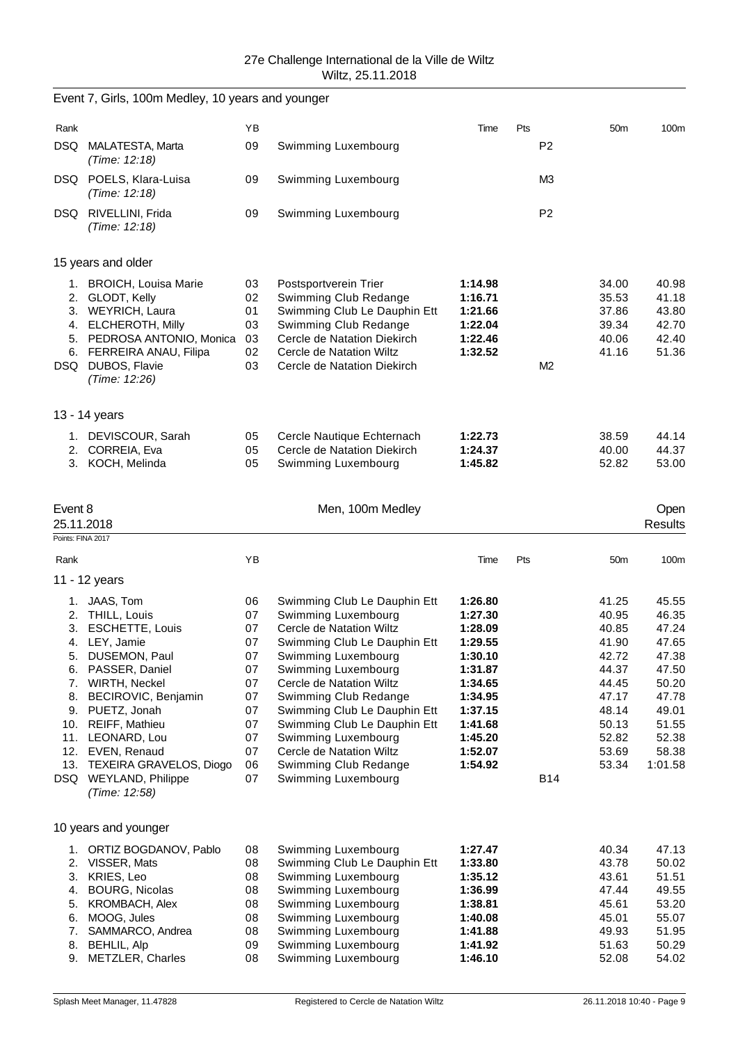Event 7, Girls, 100m Medley, 10 years and younger

| Rank       |                                                                                                                                                                                  | YB                                     |                                                                                                                                                                                                   | Time                                                           | Pts |                | 50 <sub>m</sub>                                    | 100m                                               |
|------------|----------------------------------------------------------------------------------------------------------------------------------------------------------------------------------|----------------------------------------|---------------------------------------------------------------------------------------------------------------------------------------------------------------------------------------------------|----------------------------------------------------------------|-----|----------------|----------------------------------------------------|----------------------------------------------------|
| <b>DSQ</b> | MALATESTA, Marta<br>(Time: 12:18)                                                                                                                                                | 09                                     | Swimming Luxembourg                                                                                                                                                                               |                                                                |     | P <sub>2</sub> |                                                    |                                                    |
|            | DSQ POELS, Klara-Luisa<br>(Time: 12:18)                                                                                                                                          | 09                                     | Swimming Luxembourg                                                                                                                                                                               |                                                                |     | M <sub>3</sub> |                                                    |                                                    |
|            | DSQ RIVELLINI, Frida<br>(Time: 12:18)                                                                                                                                            | 09                                     | Swimming Luxembourg                                                                                                                                                                               |                                                                |     | P <sub>2</sub> |                                                    |                                                    |
|            | 15 years and older                                                                                                                                                               |                                        |                                                                                                                                                                                                   |                                                                |     |                |                                                    |                                                    |
| 2.<br>5.   | 1. BROICH, Louisa Marie<br>GLODT, Kelly<br>3. WEYRICH, Laura<br>4. ELCHEROTH, Milly<br>PEDROSA ANTONIO, Monica<br>6. FERREIRA ANAU, Filipa<br>DSQ DUBOS, Flavie<br>(Time: 12:26) | 03<br>02<br>01<br>03<br>03<br>02<br>03 | Postsportverein Trier<br>Swimming Club Redange<br>Swimming Club Le Dauphin Ett<br>Swimming Club Redange<br>Cercle de Natation Diekirch<br>Cercle de Natation Wiltz<br>Cercle de Natation Diekirch | 1:14.98<br>1:16.71<br>1:21.66<br>1:22.04<br>1:22.46<br>1:32.52 |     | M <sub>2</sub> | 34.00<br>35.53<br>37.86<br>39.34<br>40.06<br>41.16 | 40.98<br>41.18<br>43.80<br>42.70<br>42.40<br>51.36 |
|            | 13 - 14 years                                                                                                                                                                    |                                        |                                                                                                                                                                                                   |                                                                |     |                |                                                    |                                                    |
| 1.         | DEVISCOUR, Sarah<br>2. CORREIA, Eva<br>3. KOCH, Melinda                                                                                                                          | 05<br>05<br>05                         | Cercle Nautique Echternach<br>Cercle de Natation Diekirch<br>Swimming Luxembourg                                                                                                                  | 1:22.73<br>1:24.37<br>1:45.82                                  |     |                | 38.59<br>40.00<br>52.82                            | 44.14<br>44.37<br>53.00                            |
| Event 8    |                                                                                                                                                                                  |                                        | Men, 100m Medley                                                                                                                                                                                  |                                                                |     |                |                                                    | Open                                               |
|            | 25.11.2018<br>Points: FINA 2017                                                                                                                                                  |                                        |                                                                                                                                                                                                   |                                                                |     |                |                                                    | <b>Results</b>                                     |
|            |                                                                                                                                                                                  |                                        |                                                                                                                                                                                                   |                                                                |     |                |                                                    |                                                    |
| Rank       |                                                                                                                                                                                  | YB                                     |                                                                                                                                                                                                   | Time                                                           | Pts |                | 50 <sub>m</sub>                                    | 100m                                               |
|            | 11 - 12 years                                                                                                                                                                    |                                        |                                                                                                                                                                                                   |                                                                |     |                |                                                    |                                                    |
| 1.         | JAAS, Tom                                                                                                                                                                        | 06                                     | Swimming Club Le Dauphin Ett                                                                                                                                                                      | 1:26.80                                                        |     |                | 41.25                                              | 45.55                                              |
|            | 2. THILL, Louis                                                                                                                                                                  | 07                                     | Swimming Luxembourg                                                                                                                                                                               | 1:27.30                                                        |     |                | 40.95                                              | 46.35                                              |
| 3.         | <b>ESCHETTE, Louis</b><br>4. LEY, Jamie                                                                                                                                          | 07<br>07                               | Cercle de Natation Wiltz<br>Swimming Club Le Dauphin Ett                                                                                                                                          | 1:28.09<br>1:29.55                                             |     |                | 40.85<br>41.90                                     | 47.24<br>47.65                                     |
| 5.         | DUSEMON, Paul                                                                                                                                                                    | 07                                     | Swimming Luxembourg                                                                                                                                                                               | 1:30.10                                                        |     |                | 42.72                                              | 47.38                                              |
| 6.         | PASSER, Daniel                                                                                                                                                                   | 07                                     | Swimming Luxembourg                                                                                                                                                                               | 1:31.87                                                        |     |                | 44.37                                              | 47.50                                              |
| 7.         | WIRTH, Neckel                                                                                                                                                                    | 07                                     | Cercle de Natation Wiltz                                                                                                                                                                          | 1:34.65                                                        |     |                | 44.45                                              | 50.20                                              |
| 8.         | BECIROVIC, Benjamin                                                                                                                                                              | 07                                     | Swimming Club Redange                                                                                                                                                                             | 1:34.95                                                        |     |                | 47.17                                              | 47.78                                              |
|            | 9. PUETZ, Jonah                                                                                                                                                                  | 07                                     | Swimming Club Le Dauphin Ett                                                                                                                                                                      | 1:37.15                                                        |     |                | 48.14                                              | 49.01                                              |
|            | 10. REIFF, Mathieu                                                                                                                                                               | 07                                     | Swimming Club Le Dauphin Ett                                                                                                                                                                      | 1:41.68                                                        |     |                | 50.13                                              | 51.55                                              |
| 11.        | LEONARD, Lou                                                                                                                                                                     | 07                                     | Swimming Luxembourg                                                                                                                                                                               | 1:45.20                                                        |     |                | 52.82                                              | 52.38                                              |
|            | 12. EVEN, Renaud                                                                                                                                                                 | 07                                     | Cercle de Natation Wiltz<br>Swimming Club Redange                                                                                                                                                 | 1:52.07<br>1:54.92                                             |     |                | 53.69                                              | 58.38                                              |
| 13.        | <b>TEXEIRA GRAVELOS, Diogo</b><br>DSQ WEYLAND, Philippe<br>(Time: 12:58)                                                                                                         | 06<br>07                               | Swimming Luxembourg                                                                                                                                                                               |                                                                |     | <b>B14</b>     | 53.34                                              | 1:01.58                                            |
|            | 10 years and younger                                                                                                                                                             |                                        |                                                                                                                                                                                                   |                                                                |     |                |                                                    |                                                    |
| 1.         | ORTIZ BOGDANOV, Pablo                                                                                                                                                            | 08                                     | Swimming Luxembourg                                                                                                                                                                               | 1:27.47                                                        |     |                | 40.34                                              | 47.13                                              |
| 2.         | VISSER, Mats                                                                                                                                                                     | 08                                     | Swimming Club Le Dauphin Ett                                                                                                                                                                      | 1:33.80                                                        |     |                | 43.78                                              | 50.02                                              |
| 3.         | KRIES, Leo                                                                                                                                                                       | 08                                     | Swimming Luxembourg                                                                                                                                                                               | 1:35.12                                                        |     |                | 43.61                                              | 51.51                                              |
| 4.         | <b>BOURG, Nicolas</b>                                                                                                                                                            | 08                                     | Swimming Luxembourg                                                                                                                                                                               | 1:36.99                                                        |     |                | 47.44                                              | 49.55                                              |
| 5.         | <b>KROMBACH, Alex</b>                                                                                                                                                            | 08                                     | Swimming Luxembourg                                                                                                                                                                               | 1:38.81                                                        |     |                | 45.61                                              | 53.20                                              |
| 6.         | MOOG, Jules                                                                                                                                                                      | 08                                     | Swimming Luxembourg                                                                                                                                                                               | 1:40.08                                                        |     |                | 45.01                                              | 55.07                                              |
| 8.         | 7. SAMMARCO, Andrea<br><b>BEHLIL, Alp</b>                                                                                                                                        | 08<br>09                               | Swimming Luxembourg<br>Swimming Luxembourg                                                                                                                                                        | 1:41.88<br>1:41.92                                             |     |                | 49.93<br>51.63                                     | 51.95<br>50.29                                     |
|            |                                                                                                                                                                                  |                                        |                                                                                                                                                                                                   |                                                                |     |                |                                                    |                                                    |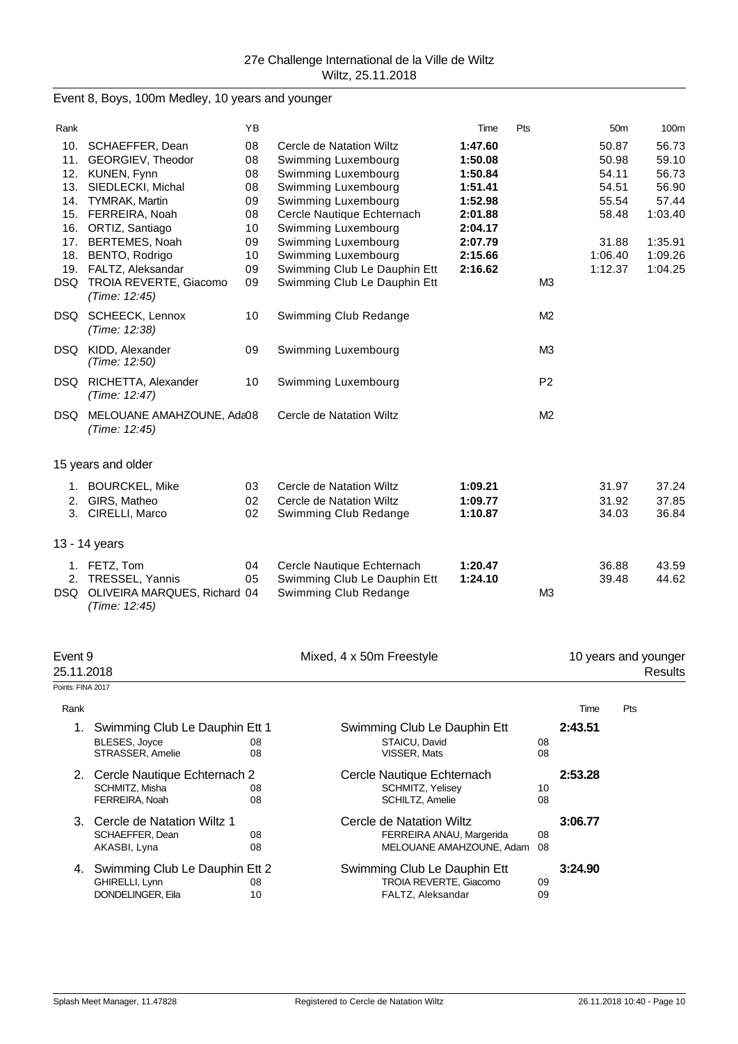Event 8, Boys, 100m Medley, 10 years and younger

| Rank       |                                                | YB |                              | Time    | Pts            | 50 <sub>m</sub> | 100m    |
|------------|------------------------------------------------|----|------------------------------|---------|----------------|-----------------|---------|
|            | 10. SCHAEFFER, Dean                            | 08 | Cercle de Natation Wiltz     | 1:47.60 |                | 50.87           | 56.73   |
| 11.        | GEORGIEV, Theodor                              | 08 | Swimming Luxembourg          | 1:50.08 |                | 50.98           | 59.10   |
| 12.        | KUNEN, Fynn                                    | 08 | Swimming Luxembourg          | 1:50.84 |                | 54.11           | 56.73   |
| 13.        | SIEDLECKI, Michal                              | 08 | Swimming Luxembourg          | 1:51.41 |                | 54.51           | 56.90   |
| 14.        | <b>TYMRAK, Martin</b>                          | 09 | Swimming Luxembourg          | 1:52.98 |                | 55.54           | 57.44   |
| 15.        | FERREIRA, Noah                                 | 08 | Cercle Nautique Echternach   | 2:01.88 |                | 58.48           | 1:03.40 |
| 16.        | ORTIZ, Santiago                                | 10 | Swimming Luxembourg          | 2:04.17 |                |                 |         |
| 17.        | <b>BERTEMES, Noah</b>                          | 09 | Swimming Luxembourg          | 2:07.79 |                | 31.88           | 1:35.91 |
| 18.        | BENTO, Rodrigo                                 | 10 | Swimming Luxembourg          | 2:15.66 |                | 1:06.40         | 1:09.26 |
| 19.        | FALTZ, Aleksandar                              | 09 | Swimming Club Le Dauphin Ett | 2:16.62 |                | 1:12.37         | 1:04.25 |
| DSQ.       | TROIA REVERTE, Giacomo<br>(Time: 12:45)        | 09 | Swimming Club Le Dauphin Ett |         | M <sub>3</sub> |                 |         |
|            | DSQ SCHEECK, Lennox<br>(Time: 12:38)           | 10 | Swimming Club Redange        |         | M <sub>2</sub> |                 |         |
|            | DSQ KIDD, Alexander<br>(Time: 12:50)           | 09 | Swimming Luxembourg          |         | M <sub>3</sub> |                 |         |
|            | DSQ RICHETTA, Alexander<br>(Time: 12:47)       | 10 | Swimming Luxembourg          |         | P <sub>2</sub> |                 |         |
|            | DSQ MELOUANE AMAHZOUNE, Ada08<br>(Time: 12:45) |    | Cercle de Natation Wiltz     |         | M <sub>2</sub> |                 |         |
|            | 15 years and older                             |    |                              |         |                |                 |         |
|            | 1. BOURCKEL, Mike                              | 03 | Cercle de Natation Wiltz     | 1:09.21 |                | 31.97           | 37.24   |
|            | 2. GIRS, Matheo                                | 02 | Cercle de Natation Wiltz     | 1:09.77 |                | 31.92           | 37.85   |
|            | 3. CIRELLI, Marco                              | 02 | Swimming Club Redange        | 1:10.87 |                | 34.03           | 36.84   |
|            | 13 - 14 years                                  |    |                              |         |                |                 |         |
|            | 1. FETZ, Tom                                   | 04 | Cercle Nautique Echternach   | 1:20.47 |                | 36.88           | 43.59   |
| 2.         | TRESSEL, Yannis                                | 05 | Swimming Club Le Dauphin Ett | 1:24.10 |                | 39.48           | 44.62   |
| <b>DSQ</b> | OLIVEIRA MARQUES, Richard 04<br>(Time: 12:45)  |    | Swimming Club Redange        |         | M <sub>3</sub> |                 |         |

| Event 9<br>25.11.2018 |                                                                            |          | Mixed, 4 x 50m Freestyle                                                         |          | 10 years and younger<br>Results |     |
|-----------------------|----------------------------------------------------------------------------|----------|----------------------------------------------------------------------------------|----------|---------------------------------|-----|
| Points: FINA 2017     |                                                                            |          |                                                                                  |          |                                 |     |
| Rank                  |                                                                            |          |                                                                                  |          | Time                            | Pts |
| 1.                    | Swimming Club Le Dauphin Ett 1<br><b>BLESES, Joyce</b><br>STRASSER, Amelie | 08<br>08 | Swimming Club Le Dauphin Ett<br>STAICU, David<br>VISSER, Mats                    | 08<br>08 | 2:43.51                         |     |
| 2.                    | Cercle Nautique Echternach 2<br>SCHMITZ, Misha<br>FERREIRA, Noah           | 08<br>08 | Cercle Nautique Echternach<br><b>SCHMITZ, Yelisey</b><br>SCHILTZ, Amelie         | 10<br>08 | 2:53.28                         |     |
| 3 <sub>1</sub>        | Cercle de Natation Wiltz 1<br>SCHAEFFER, Dean<br>AKASBI, Lyna              | 08<br>08 | Cercle de Natation Wiltz<br>FERREIRA ANAU, Margerida<br>MELOUANE AMAHZOUNE, Adam | 08<br>08 | 3:06.77                         |     |
| 4.                    | Swimming Club Le Dauphin Ett 2<br>GHIRELLI, Lynn<br>DONDELINGER, Eila      | 08<br>10 | Swimming Club Le Dauphin Ett<br>TROIA REVERTE, Giacomo<br>FALTZ, Aleksandar      | 09<br>09 | 3:24.90                         |     |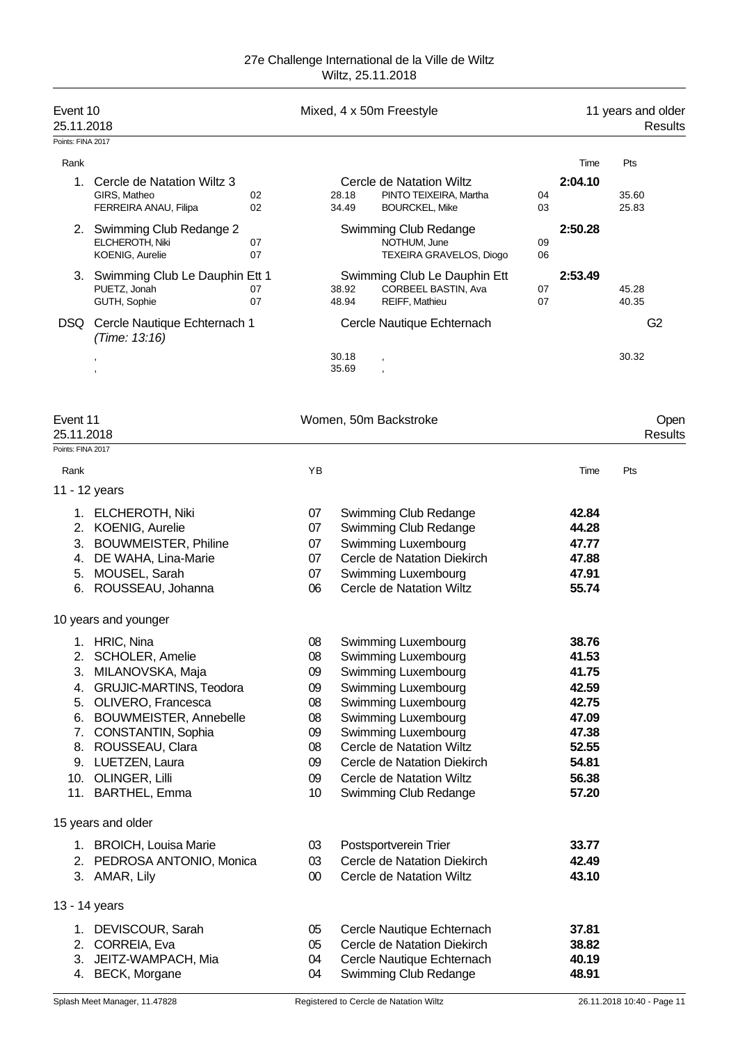| Event 10<br>25.11.2018<br>Points: FINA 2017 |                                                                                    |                 |                | Mixed, 4 x 50m Freestyle                                                    |          |                | 11 years and older<br><b>Results</b> |
|---------------------------------------------|------------------------------------------------------------------------------------|-----------------|----------------|-----------------------------------------------------------------------------|----------|----------------|--------------------------------------|
| Rank                                        |                                                                                    |                 |                |                                                                             |          | Time           | Pts                                  |
|                                             | 1. Cercle de Natation Wiltz 3<br>GIRS, Matheo<br>02<br>FERREIRA ANAU, Filipa<br>02 |                 | 28.18<br>34.49 | Cercle de Natation Wiltz<br>PINTO TEIXEIRA, Martha<br><b>BOURCKEL, Mike</b> | 04<br>03 | 2:04.10        | 35.60<br>25.83                       |
|                                             | 2. Swimming Club Redange 2<br>ELCHEROTH, Niki<br>07<br>KOENIG, Aurelie<br>07       |                 |                | Swimming Club Redange<br>NOTHUM, June<br>TEXEIRA GRAVELOS, Diogo            | 09<br>06 | 2:50.28        |                                      |
|                                             | 3. Swimming Club Le Dauphin Ett 1<br>PUETZ, Jonah<br>07<br>GUTH, Sophie<br>07      |                 | 38.92<br>48.94 | Swimming Club Le Dauphin Ett<br>CORBEEL BASTIN, Ava<br>REIFF, Mathieu       | 07<br>07 | 2:53.49        | 45.28<br>40.35                       |
|                                             | DSQ Cercle Nautique Echternach 1<br>(Time: 13:16)                                  |                 |                | Cercle Nautique Echternach                                                  |          |                | G <sub>2</sub>                       |
|                                             |                                                                                    |                 | 30.18<br>35.69 |                                                                             |          |                | 30.32                                |
| Event 11<br>25.11.2018                      |                                                                                    |                 |                | Women, 50m Backstroke                                                       |          |                | Open<br><b>Results</b>               |
| Points: FINA 2017                           |                                                                                    |                 |                |                                                                             |          |                |                                      |
| Rank                                        |                                                                                    | ΥB              |                |                                                                             |          | Time           | Pts                                  |
|                                             | 11 - 12 years                                                                      |                 |                |                                                                             |          |                |                                      |
|                                             | 1. ELCHEROTH, Niki                                                                 | 07              |                | Swimming Club Redange                                                       |          | 42.84          |                                      |
|                                             | 2. KOENIG, Aurelie                                                                 | 07              |                | Swimming Club Redange                                                       |          | 44.28          |                                      |
|                                             | 3. BOUWMEISTER, Philine                                                            | 07              |                | Swimming Luxembourg                                                         |          | 47.77          |                                      |
|                                             | 4. DE WAHA, Lina-Marie                                                             | 07              |                | Cercle de Natation Diekirch                                                 |          | 47.88          |                                      |
|                                             | 5. MOUSEL, Sarah<br>ROUSSEAU, Johanna                                              | 07<br>06        |                | Swimming Luxembourg<br><b>Cercle de Natation Wiltz</b>                      |          | 47.91<br>55.74 |                                      |
| 6.                                          |                                                                                    |                 |                |                                                                             |          |                |                                      |
|                                             | 10 years and younger                                                               |                 |                |                                                                             |          |                |                                      |
|                                             | 1. HRIC, Nina                                                                      | 08              |                | Swimming Luxembourg                                                         |          | 38.76          |                                      |
|                                             | 2. SCHOLER, Amelie                                                                 | 08              |                | Swimming Luxembourg                                                         |          | 41.53          |                                      |
| 3.                                          | MILANOVSKA, Maja                                                                   | 09              |                | Swimming Luxembourg                                                         |          | 41.75          |                                      |
| 4.                                          | GRUJIC-MARTINS, Teodora                                                            | 09              |                | Swimming Luxembourg                                                         |          | 42.59          |                                      |
|                                             | 5. OLIVERO, Francesca                                                              | 08              |                | Swimming Luxembourg                                                         |          | 42.75          |                                      |
| 7.                                          | 6. BOUWMEISTER, Annebelle<br>CONSTANTIN, Sophia                                    | 08<br>09        |                | Swimming Luxembourg<br>Swimming Luxembourg                                  |          | 47.09<br>47.38 |                                      |
|                                             | 8. ROUSSEAU, Clara                                                                 | 08              |                | Cercle de Natation Wiltz                                                    |          | 52.55          |                                      |
|                                             | 9. LUETZEN, Laura                                                                  | 09              |                | Cercle de Natation Diekirch                                                 |          | 54.81          |                                      |
|                                             | 10. OLINGER, Lilli                                                                 | 09              |                | Cercle de Natation Wiltz                                                    |          | 56.38          |                                      |
|                                             | 11. BARTHEL, Emma                                                                  | 10 <sup>°</sup> |                | Swimming Club Redange                                                       |          | 57.20          |                                      |
|                                             | 15 years and older                                                                 |                 |                |                                                                             |          |                |                                      |
|                                             | 1. BROICH, Louisa Marie                                                            | 03              |                | Postsportverein Trier                                                       |          | 33.77          |                                      |
|                                             | 2. PEDROSA ANTONIO, Monica                                                         | 03              |                | Cercle de Natation Diekirch                                                 |          | 42.49          |                                      |
|                                             | 3. AMAR, Lily                                                                      | $00\,$          |                | Cercle de Natation Wiltz                                                    |          | 43.10          |                                      |
|                                             | 13 - 14 years                                                                      |                 |                |                                                                             |          |                |                                      |
|                                             | 1. DEVISCOUR, Sarah                                                                | 05              |                | Cercle Nautique Echternach                                                  |          | 37.81          |                                      |
|                                             | 2. CORREIA, Eva                                                                    | 05              |                | Cercle de Natation Diekirch                                                 |          | 38.82          |                                      |
|                                             | 3. JEITZ-WAMPACH, Mia                                                              | 04              |                | Cercle Nautique Echternach                                                  |          | 40.19          |                                      |
|                                             | 4. BECK, Morgane                                                                   | 04              |                | Swimming Club Redange                                                       |          | 48.91          |                                      |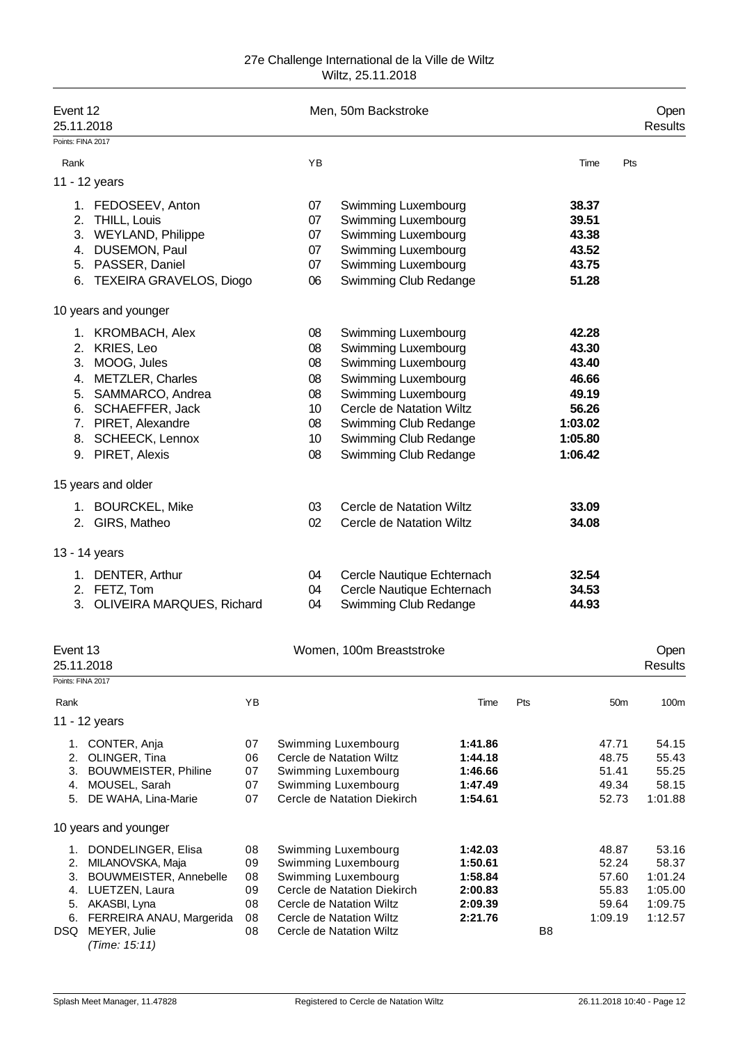| Event 12<br>25.11.2018 |                                                                                                                                                                                           |                                        |                                                                              | Men, 50m Backstroke                                                                                                                                                                                                    |                                                                |                |                                                                                     | Open<br>Results                                            |
|------------------------|-------------------------------------------------------------------------------------------------------------------------------------------------------------------------------------------|----------------------------------------|------------------------------------------------------------------------------|------------------------------------------------------------------------------------------------------------------------------------------------------------------------------------------------------------------------|----------------------------------------------------------------|----------------|-------------------------------------------------------------------------------------|------------------------------------------------------------|
| Points: FINA 2017      |                                                                                                                                                                                           |                                        |                                                                              |                                                                                                                                                                                                                        |                                                                |                |                                                                                     |                                                            |
| Rank                   |                                                                                                                                                                                           |                                        | YB                                                                           |                                                                                                                                                                                                                        |                                                                |                | Time                                                                                | Pts                                                        |
|                        | 11 - 12 years                                                                                                                                                                             |                                        |                                                                              |                                                                                                                                                                                                                        |                                                                |                |                                                                                     |                                                            |
|                        | 1. FEDOSEEV, Anton<br>2. THILL, Louis<br>3. WEYLAND, Philippe<br>4. DUSEMON, Paul<br>5. PASSER, Daniel<br>6. TEXEIRA GRAVELOS, Diogo                                                      |                                        | 07<br>07<br>07<br>07<br>07<br>06                                             | Swimming Luxembourg<br>Swimming Luxembourg<br>Swimming Luxembourg<br>Swimming Luxembourg<br>Swimming Luxembourg<br>Swimming Club Redange                                                                               |                                                                |                | 38.37<br>39.51<br>43.38<br>43.52<br>43.75<br>51.28                                  |                                                            |
|                        | 10 years and younger                                                                                                                                                                      |                                        |                                                                              |                                                                                                                                                                                                                        |                                                                |                |                                                                                     |                                                            |
|                        | 1. KROMBACH, Alex<br>2. KRIES, Leo<br>3. MOOG, Jules<br>4. METZLER, Charles<br>5. SAMMARCO, Andrea<br>6. SCHAEFFER, Jack<br>7. PIRET, Alexandre<br>8. SCHEECK, Lennox<br>9. PIRET, Alexis |                                        | 08<br>08<br>08<br>08<br>08<br>10 <sup>°</sup><br>08<br>10 <sup>°</sup><br>08 | Swimming Luxembourg<br>Swimming Luxembourg<br>Swimming Luxembourg<br>Swimming Luxembourg<br>Swimming Luxembourg<br>Cercle de Natation Wiltz<br>Swimming Club Redange<br>Swimming Club Redange<br>Swimming Club Redange |                                                                |                | 42.28<br>43.30<br>43.40<br>46.66<br>49.19<br>56.26<br>1:03.02<br>1:05.80<br>1:06.42 |                                                            |
|                        | 15 years and older                                                                                                                                                                        |                                        |                                                                              |                                                                                                                                                                                                                        |                                                                |                |                                                                                     |                                                            |
|                        | 1. BOURCKEL, Mike<br>2. GIRS, Matheo                                                                                                                                                      |                                        | 03<br>02                                                                     | Cercle de Natation Wiltz<br>Cercle de Natation Wiltz                                                                                                                                                                   |                                                                |                | 33.09<br>34.08                                                                      |                                                            |
|                        | 13 - 14 years<br>1. DENTER, Arthur<br>2. FETZ, Tom<br>3. OLIVEIRA MARQUES, Richard                                                                                                        |                                        | 04<br>04<br>04                                                               | Cercle Nautique Echternach<br>Cercle Nautique Echternach<br>Swimming Club Redange                                                                                                                                      |                                                                |                | 32.54<br>34.53<br>44.93                                                             |                                                            |
| Event 13<br>25.11.2018 |                                                                                                                                                                                           |                                        |                                                                              | Women, 100m Breaststroke                                                                                                                                                                                               |                                                                |                |                                                                                     | Open<br>Results                                            |
| Points: FINA 2017      |                                                                                                                                                                                           |                                        |                                                                              |                                                                                                                                                                                                                        |                                                                |                |                                                                                     |                                                            |
| Rank                   | 11 - 12 years                                                                                                                                                                             | YB                                     |                                                                              |                                                                                                                                                                                                                        | Time                                                           | Pts            | 50 <sub>m</sub>                                                                     | 100m                                                       |
| 3.<br>5.               | 1. CONTER, Anja<br>2. OLINGER, Tina<br><b>BOUWMEISTER, Philine</b><br>4. MOUSEL, Sarah<br>DE WAHA, Lina-Marie                                                                             | 07<br>06<br>07<br>07<br>07             |                                                                              | Swimming Luxembourg<br>Cercle de Natation Wiltz<br>Swimming Luxembourg<br>Swimming Luxembourg<br>Cercle de Natation Diekirch                                                                                           | 1:41.86<br>1:44.18<br>1:46.66<br>1:47.49<br>1:54.61            |                | 47.71<br>48.75<br>51.41<br>49.34<br>52.73                                           | 54.15<br>55.43<br>55.25<br>58.15<br>1:01.88                |
|                        | 10 years and younger                                                                                                                                                                      |                                        |                                                                              |                                                                                                                                                                                                                        |                                                                |                |                                                                                     |                                                            |
| 1.<br>3.<br>4.<br>DSQ  | DONDELINGER, Elisa<br>2. MILANOVSKA, Maja<br>BOUWMEISTER, Annebelle<br>LUETZEN, Laura<br>5. AKASBI, Lyna<br>6. FERREIRA ANAU, Margerida<br>MEYER, Julie<br>(Time: 15:11)                  | 08<br>09<br>08<br>09<br>08<br>08<br>08 |                                                                              | Swimming Luxembourg<br>Swimming Luxembourg<br>Swimming Luxembourg<br>Cercle de Natation Diekirch<br>Cercle de Natation Wiltz<br>Cercle de Natation Wiltz<br>Cercle de Natation Wiltz                                   | 1:42.03<br>1:50.61<br>1:58.84<br>2:00.83<br>2:09.39<br>2:21.76 | B <sub>8</sub> | 48.87<br>52.24<br>57.60<br>55.83<br>59.64<br>1:09.19                                | 53.16<br>58.37<br>1:01.24<br>1:05.00<br>1:09.75<br>1:12.57 |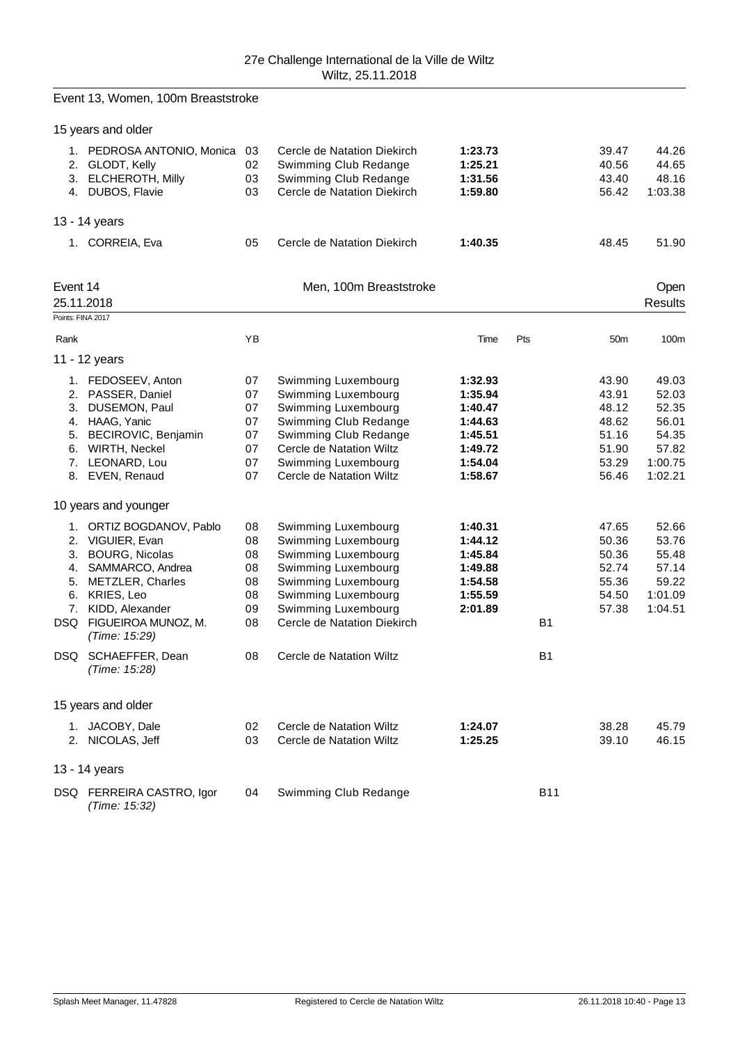|                                             | Event 13, Women, 100m Breaststroke                                                                                                                                                                  |                                              |                                                                                                                                                                                                    |                                                                                      |                |                                                                      |                                                                          |
|---------------------------------------------|-----------------------------------------------------------------------------------------------------------------------------------------------------------------------------------------------------|----------------------------------------------|----------------------------------------------------------------------------------------------------------------------------------------------------------------------------------------------------|--------------------------------------------------------------------------------------|----------------|----------------------------------------------------------------------|--------------------------------------------------------------------------|
|                                             | 15 years and older                                                                                                                                                                                  |                                              |                                                                                                                                                                                                    |                                                                                      |                |                                                                      |                                                                          |
| 2.                                          | 1. PEDROSA ANTONIO, Monica<br>GLODT, Kelly<br>3. ELCHEROTH, Milly<br>4. DUBOS, Flavie                                                                                                               | 03<br>02<br>03<br>03                         | Cercle de Natation Diekirch<br>Swimming Club Redange<br>Swimming Club Redange<br>Cercle de Natation Diekirch                                                                                       | 1:23.73<br>1:25.21<br>1:31.56<br>1:59.80                                             |                | 39.47<br>40.56<br>43.40<br>56.42                                     | 44.26<br>44.65<br>48.16<br>1:03.38                                       |
|                                             | 13 - 14 years                                                                                                                                                                                       |                                              |                                                                                                                                                                                                    |                                                                                      |                |                                                                      |                                                                          |
|                                             | 1. CORREIA, Eva                                                                                                                                                                                     | 05                                           | Cercle de Natation Diekirch                                                                                                                                                                        | 1:40.35                                                                              |                | 48.45                                                                | 51.90                                                                    |
| Event 14<br>25.11.2018<br>Points: FINA 2017 |                                                                                                                                                                                                     |                                              | Men, 100m Breaststroke                                                                                                                                                                             |                                                                                      |                |                                                                      | Open<br><b>Results</b>                                                   |
| Rank                                        |                                                                                                                                                                                                     | YB                                           |                                                                                                                                                                                                    | Time                                                                                 | Pts            | 50m                                                                  | 100m                                                                     |
|                                             | 11 - 12 years                                                                                                                                                                                       |                                              |                                                                                                                                                                                                    |                                                                                      |                |                                                                      |                                                                          |
|                                             | 1. FEDOSEEV, Anton<br>2. PASSER, Daniel<br>3. DUSEMON, Paul<br>4. HAAG, Yanic<br>5. BECIROVIC, Benjamin<br>6. WIRTH, Neckel<br>7. LEONARD, Lou<br>8. EVEN, Renaud                                   | 07<br>07<br>07<br>07<br>07<br>07<br>07<br>07 | Swimming Luxembourg<br>Swimming Luxembourg<br>Swimming Luxembourg<br>Swimming Club Redange<br>Swimming Club Redange<br>Cercle de Natation Wiltz<br>Swimming Luxembourg<br>Cercle de Natation Wiltz | 1:32.93<br>1:35.94<br>1:40.47<br>1:44.63<br>1:45.51<br>1:49.72<br>1:54.04<br>1:58.67 |                | 43.90<br>43.91<br>48.12<br>48.62<br>51.16<br>51.90<br>53.29<br>56.46 | 49.03<br>52.03<br>52.35<br>56.01<br>54.35<br>57.82<br>1:00.75<br>1:02.21 |
|                                             | 10 years and younger                                                                                                                                                                                |                                              |                                                                                                                                                                                                    |                                                                                      |                |                                                                      |                                                                          |
| 4.<br>5.                                    | 1. ORTIZ BOGDANOV, Pablo<br>2. VIGUIER, Evan<br>3. BOURG, Nicolas<br>SAMMARCO, Andrea<br><b>METZLER, Charles</b><br>6. KRIES, Leo<br>7. KIDD, Alexander<br>DSQ FIGUEIROA MUNOZ, M.<br>(Time: 15:29) | 08<br>08<br>08<br>08<br>08<br>08<br>09<br>08 | Swimming Luxembourg<br>Swimming Luxembourg<br>Swimming Luxembourg<br>Swimming Luxembourg<br>Swimming Luxembourg<br>Swimming Luxembourg<br>Swimming Luxembourg<br>Cercle de Natation Diekirch       | 1:40.31<br>1:44.12<br>1:45.84<br>1:49.88<br>1:54.58<br>1:55.59<br>2:01.89            | B <sub>1</sub> | 47.65<br>50.36<br>50.36<br>52.74<br>55.36<br>54.50<br>57.38          | 52.66<br>53.76<br>55.48<br>57.14<br>59.22<br>1:01.09<br>1:04.51          |
|                                             | DSQ SCHAEFFER, Dean<br>(Time: 15:28)                                                                                                                                                                | 08                                           | Cercle de Natation Wiltz                                                                                                                                                                           |                                                                                      | B <sub>1</sub> |                                                                      |                                                                          |
|                                             | 15 years and older                                                                                                                                                                                  |                                              |                                                                                                                                                                                                    |                                                                                      |                |                                                                      |                                                                          |
|                                             | 1. JACOBY, Dale<br>2. NICOLAS, Jeff                                                                                                                                                                 | 02<br>03                                     | Cercle de Natation Wiltz<br>Cercle de Natation Wiltz                                                                                                                                               | 1:24.07<br>1:25.25                                                                   |                | 38.28<br>39.10                                                       | 45.79<br>46.15                                                           |
|                                             | 13 - 14 years                                                                                                                                                                                       |                                              |                                                                                                                                                                                                    |                                                                                      |                |                                                                      |                                                                          |
|                                             | DSQ FERREIRA CASTRO, Igor<br>(Time: 15:32)                                                                                                                                                          | 04                                           | Swimming Club Redange                                                                                                                                                                              |                                                                                      | <b>B11</b>     |                                                                      |                                                                          |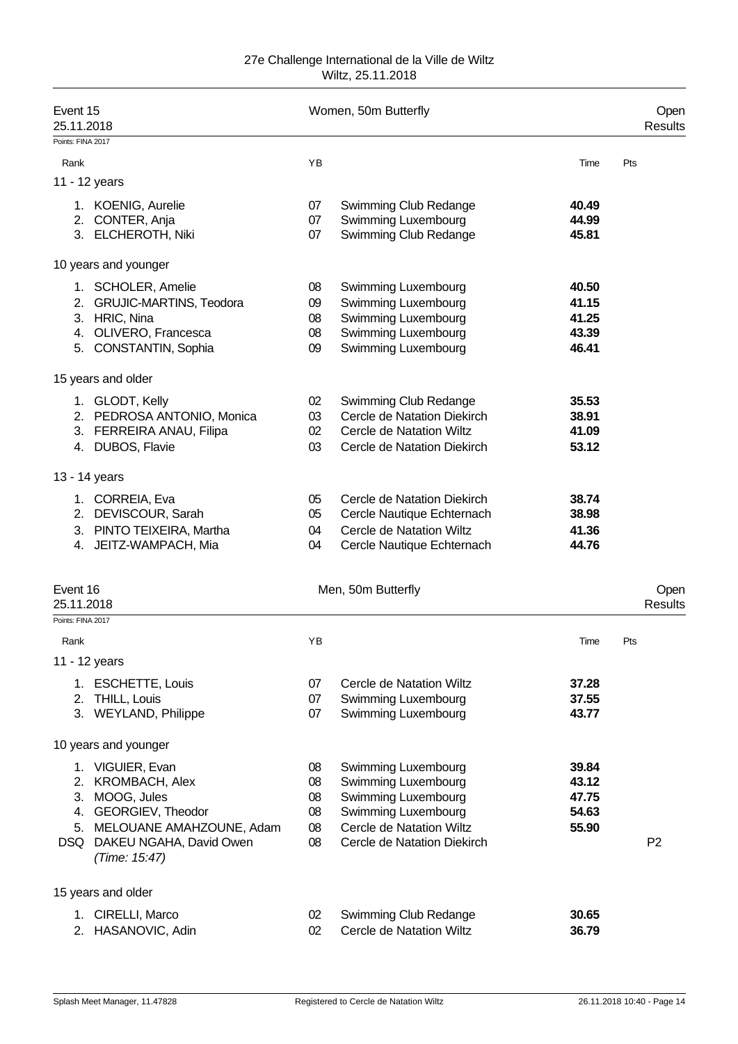| Event 15<br>25.11.2018                      |                                                                                                                                                                |                                  | Women, 50m Butterfly                                                                                                                                |                                           | Open<br>Results |
|---------------------------------------------|----------------------------------------------------------------------------------------------------------------------------------------------------------------|----------------------------------|-----------------------------------------------------------------------------------------------------------------------------------------------------|-------------------------------------------|-----------------|
| Points: FINA 2017                           |                                                                                                                                                                |                                  |                                                                                                                                                     |                                           |                 |
| Rank                                        |                                                                                                                                                                | YB                               |                                                                                                                                                     | Time                                      | Pts             |
|                                             | 11 - 12 years                                                                                                                                                  |                                  |                                                                                                                                                     |                                           |                 |
|                                             | 1. KOENIG, Aurelie<br>2. CONTER, Anja<br>3. ELCHEROTH, Niki                                                                                                    | 07<br>07<br>07                   | Swimming Club Redange<br>Swimming Luxembourg<br>Swimming Club Redange                                                                               | 40.49<br>44.99<br>45.81                   |                 |
|                                             | 10 years and younger                                                                                                                                           |                                  |                                                                                                                                                     |                                           |                 |
|                                             | 1. SCHOLER, Amelie<br>2. GRUJIC-MARTINS, Teodora<br>3. HRIC, Nina<br>4. OLIVERO, Francesca<br>5. CONSTANTIN, Sophia                                            | 08<br>09<br>08<br>08<br>09       | Swimming Luxembourg<br>Swimming Luxembourg<br>Swimming Luxembourg<br>Swimming Luxembourg<br>Swimming Luxembourg                                     | 40.50<br>41.15<br>41.25<br>43.39<br>46.41 |                 |
|                                             | 15 years and older                                                                                                                                             |                                  |                                                                                                                                                     |                                           |                 |
|                                             | 1. GLODT, Kelly<br>2. PEDROSA ANTONIO, Monica<br>3. FERREIRA ANAU, Filipa<br>4. DUBOS, Flavie                                                                  | 02<br>03<br>02<br>03             | Swimming Club Redange<br>Cercle de Natation Diekirch<br>Cercle de Natation Wiltz<br>Cercle de Natation Diekirch                                     | 35.53<br>38.91<br>41.09<br>53.12          |                 |
|                                             | 13 - 14 years                                                                                                                                                  |                                  |                                                                                                                                                     |                                           |                 |
|                                             | 1. CORREIA, Eva<br>2. DEVISCOUR, Sarah<br>3. PINTO TEIXEIRA, Martha<br>4. JEITZ-WAMPACH, Mia                                                                   | 05<br>05<br>04<br>04             | Cercle de Natation Diekirch<br>Cercle Nautique Echternach<br>Cercle de Natation Wiltz<br>Cercle Nautique Echternach                                 | 38.74<br>38.98<br>41.36<br>44.76          |                 |
| Event 16<br>25.11.2018<br>Points: FINA 2017 |                                                                                                                                                                |                                  | Men, 50m Butterfly                                                                                                                                  |                                           | Open<br>Results |
| Rank                                        |                                                                                                                                                                | ΥB                               |                                                                                                                                                     | Time                                      | Pts             |
|                                             | 11 - 12 years                                                                                                                                                  |                                  |                                                                                                                                                     |                                           |                 |
|                                             | 1. ESCHETTE, Louis<br>2. THILL, Louis<br>3. WEYLAND, Philippe                                                                                                  | 07<br>07<br>07                   | Cercle de Natation Wiltz<br>Swimming Luxembourg<br>Swimming Luxembourg                                                                              | 37.28<br>37.55<br>43.77                   |                 |
|                                             | 10 years and younger                                                                                                                                           |                                  |                                                                                                                                                     |                                           |                 |
|                                             | 1. VIGUIER, Evan<br>2. KROMBACH, Alex<br>3. MOOG, Jules<br>4. GEORGIEV, Theodor<br>5. MELOUANE AMAHZOUNE, Adam<br>DSQ DAKEU NGAHA, David Owen<br>(Time: 15:47) | 08<br>08<br>08<br>08<br>08<br>08 | Swimming Luxembourg<br>Swimming Luxembourg<br>Swimming Luxembourg<br>Swimming Luxembourg<br>Cercle de Natation Wiltz<br>Cercle de Natation Diekirch | 39.84<br>43.12<br>47.75<br>54.63<br>55.90 | P <sub>2</sub>  |
|                                             | 15 years and older                                                                                                                                             |                                  |                                                                                                                                                     |                                           |                 |
|                                             | 1. CIRELLI, Marco<br>2. HASANOVIC, Adin                                                                                                                        | 02<br>02                         | Swimming Club Redange<br>Cercle de Natation Wiltz                                                                                                   | 30.65<br>36.79                            |                 |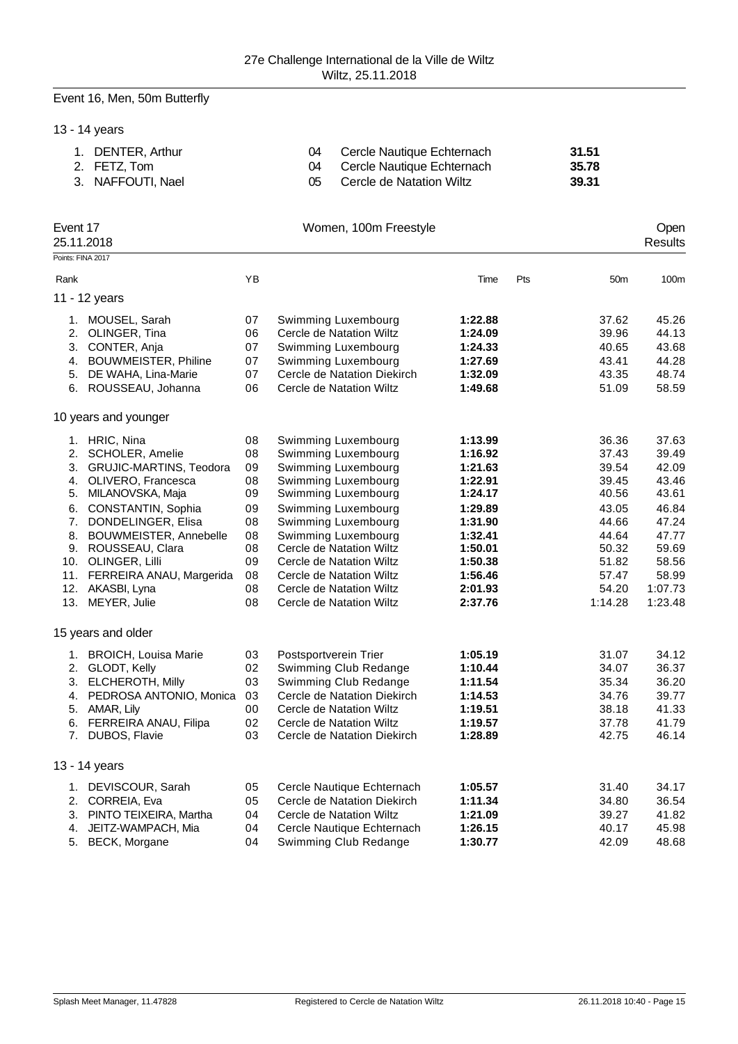# Event 16, Men, 50m Butterfly

|                                                            | 13 - 14 years                                                                                                                                                                                                                                                                               |                                                                            |                                                                                                                                                                                                                                                                                                                                  |                                                                                                                                             |                                                                                                                     |                                                                                                                       |
|------------------------------------------------------------|---------------------------------------------------------------------------------------------------------------------------------------------------------------------------------------------------------------------------------------------------------------------------------------------|----------------------------------------------------------------------------|----------------------------------------------------------------------------------------------------------------------------------------------------------------------------------------------------------------------------------------------------------------------------------------------------------------------------------|---------------------------------------------------------------------------------------------------------------------------------------------|---------------------------------------------------------------------------------------------------------------------|-----------------------------------------------------------------------------------------------------------------------|
|                                                            | 1. DENTER, Arthur<br>2. FETZ, Tom<br>3. NAFFOUTI, Nael                                                                                                                                                                                                                                      |                                                                            | 04<br>Cercle Nautique Echternach<br>04<br>Cercle Nautique Echternach<br>05<br>Cercle de Natation Wiltz                                                                                                                                                                                                                           |                                                                                                                                             | 31.51<br>35.78<br>39.31                                                                                             |                                                                                                                       |
| Event 17                                                   | 25.11.2018                                                                                                                                                                                                                                                                                  |                                                                            | Women, 100m Freestyle                                                                                                                                                                                                                                                                                                            |                                                                                                                                             |                                                                                                                     | Open<br>Results                                                                                                       |
|                                                            | Points: FINA 2017                                                                                                                                                                                                                                                                           |                                                                            |                                                                                                                                                                                                                                                                                                                                  |                                                                                                                                             |                                                                                                                     |                                                                                                                       |
| Rank                                                       |                                                                                                                                                                                                                                                                                             | YB                                                                         |                                                                                                                                                                                                                                                                                                                                  | Time<br>Pts                                                                                                                                 | 50 <sub>m</sub>                                                                                                     | 100m                                                                                                                  |
|                                                            | 11 - 12 years                                                                                                                                                                                                                                                                               |                                                                            |                                                                                                                                                                                                                                                                                                                                  |                                                                                                                                             |                                                                                                                     |                                                                                                                       |
| 2.<br>3.<br>4.<br>5.<br>6.                                 | 1. MOUSEL, Sarah<br>OLINGER, Tina<br>CONTER, Anja<br><b>BOUWMEISTER, Philine</b><br>DE WAHA, Lina-Marie<br>ROUSSEAU, Johanna                                                                                                                                                                | 07<br>06<br>07<br>07<br>07<br>06                                           | Swimming Luxembourg<br>Cercle de Natation Wiltz<br>Swimming Luxembourg<br>Swimming Luxembourg<br>Cercle de Natation Diekirch<br>Cercle de Natation Wiltz                                                                                                                                                                         | 1:22.88<br>1:24.09<br>1:24.33<br>1:27.69<br>1:32.09<br>1:49.68                                                                              | 37.62<br>39.96<br>40.65<br>43.41<br>43.35<br>51.09                                                                  | 45.26<br>44.13<br>43.68<br>44.28<br>48.74<br>58.59                                                                    |
|                                                            | 10 years and younger                                                                                                                                                                                                                                                                        |                                                                            |                                                                                                                                                                                                                                                                                                                                  |                                                                                                                                             |                                                                                                                     |                                                                                                                       |
| 2.<br>3.<br>4.<br>5.<br>6.<br>7.<br>8.<br>9.<br>10.<br>11. | 1. HRIC, Nina<br><b>SCHOLER, Amelie</b><br>GRUJIC-MARTINS, Teodora<br>OLIVERO, Francesca<br>MILANOVSKA, Maja<br>CONSTANTIN, Sophia<br>DONDELINGER, Elisa<br>BOUWMEISTER, Annebelle<br>ROUSSEAU, Clara<br>OLINGER, Lilli<br>FERREIRA ANAU, Margerida<br>12. AKASBI, Lyna<br>13. MEYER, Julie | 08<br>08<br>09<br>08<br>09<br>09<br>08<br>08<br>08<br>09<br>08<br>08<br>08 | Swimming Luxembourg<br>Swimming Luxembourg<br>Swimming Luxembourg<br>Swimming Luxembourg<br>Swimming Luxembourg<br>Swimming Luxembourg<br>Swimming Luxembourg<br>Swimming Luxembourg<br>Cercle de Natation Wiltz<br>Cercle de Natation Wiltz<br>Cercle de Natation Wiltz<br>Cercle de Natation Wiltz<br>Cercle de Natation Wiltz | 1:13.99<br>1:16.92<br>1:21.63<br>1:22.91<br>1:24.17<br>1:29.89<br>1:31.90<br>1:32.41<br>1:50.01<br>1:50.38<br>1:56.46<br>2:01.93<br>2:37.76 | 36.36<br>37.43<br>39.54<br>39.45<br>40.56<br>43.05<br>44.66<br>44.64<br>50.32<br>51.82<br>57.47<br>54.20<br>1:14.28 | 37.63<br>39.49<br>42.09<br>43.46<br>43.61<br>46.84<br>47.24<br>47.77<br>59.69<br>58.56<br>58.99<br>1:07.73<br>1:23.48 |
|                                                            | 15 years and older                                                                                                                                                                                                                                                                          |                                                                            |                                                                                                                                                                                                                                                                                                                                  |                                                                                                                                             |                                                                                                                     |                                                                                                                       |
| 4.<br>5.<br>6.<br>7.                                       | 1. BROICH, Louisa Marie<br>2. GLODT, Kelly<br>3. ELCHEROTH, Milly<br>PEDROSA ANTONIO, Monica<br>AMAR, Lily<br>FERREIRA ANAU, Filipa<br>DUBOS, Flavie                                                                                                                                        | 03<br>02<br>03<br>03<br>00<br>02<br>03                                     | Postsportverein Trier<br>Swimming Club Redange<br>Swimming Club Redange<br>Cercle de Natation Diekirch<br>Cercle de Natation Wiltz<br>Cercle de Natation Wiltz<br>Cercle de Natation Diekirch                                                                                                                                    | 1:05.19<br>1:10.44<br>1:11.54<br>1:14.53<br>1:19.51<br>1:19.57<br>1:28.89                                                                   | 31.07<br>34.07<br>35.34<br>34.76<br>38.18<br>37.78<br>42.75                                                         | 34.12<br>36.37<br>36.20<br>39.77<br>41.33<br>41.79<br>46.14                                                           |
|                                                            | 13 - 14 years                                                                                                                                                                                                                                                                               |                                                                            |                                                                                                                                                                                                                                                                                                                                  |                                                                                                                                             |                                                                                                                     |                                                                                                                       |
| 1.<br>2.<br>3.<br>4.                                       | DEVISCOUR, Sarah<br>CORREIA, Eva<br>PINTO TEIXEIRA, Martha<br>JEITZ-WAMPACH, Mia                                                                                                                                                                                                            | 05<br>05<br>04<br>04                                                       | Cercle Nautique Echternach<br>Cercle de Natation Diekirch<br>Cercle de Natation Wiltz<br>Cercle Nautique Echternach                                                                                                                                                                                                              | 1:05.57<br>1:11.34<br>1:21.09<br>1:26.15                                                                                                    | 31.40<br>34.80<br>39.27<br>40.17                                                                                    | 34.17<br>36.54<br>41.82<br>45.98                                                                                      |

5. BECK, Morgane 04 Swimming Club Redange **1:30.77** 42.09 48.68